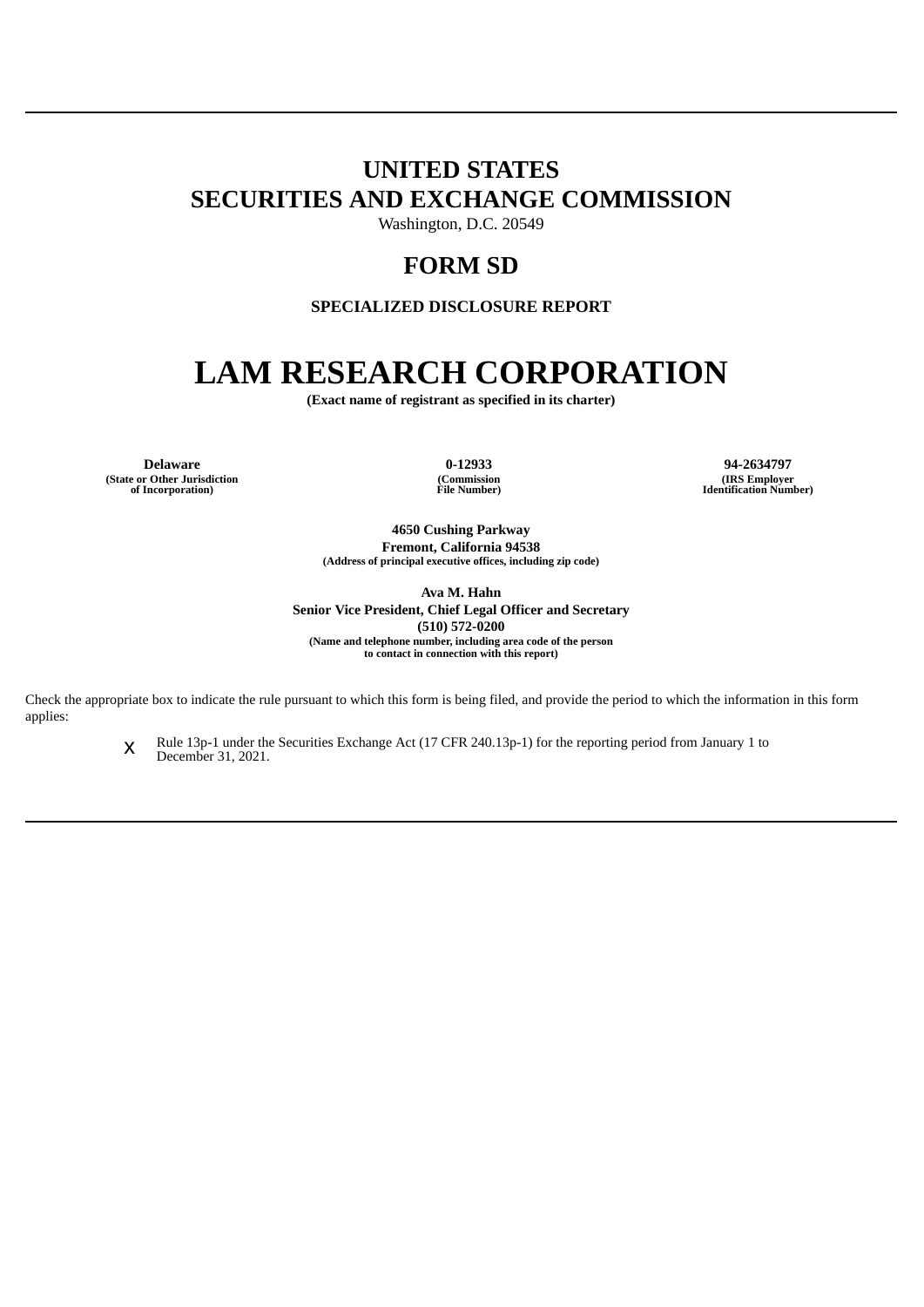# **UNITED STATES SECURITIES AND EXCHANGE COMMISSION**

Washington, D.C. 20549

# **FORM SD**

**SPECIALIZED DISCLOSURE REPORT**

# **LAM RESEARCH CORPORATION**

**(Exact name of registrant as specified in its charter)**

**Delaware 0-12933 94-2634797 (State or Other Jurisdiction of Incorporation)**

**(Commission File Number)**

**(IRS Employer Identification Number)**

**4650 Cushing Parkway Fremont, California 94538 (Address of principal executive offices, including zip code)**

**Ava M. Hahn Senior Vice President, Chief Legal Officer and Secretary (510) 572-0200 (Name and telephone number, including area code of the person to contact in connection with this report)**

Check the appropriate box to indicate the rule pursuant to which this form is being filed, and provide the period to which the information in this form applies:

> x Rule 13p-1 under the Securities Exchange Act (17 CFR 240.13p-1) for the reporting period from January 1 to December 31, 2021.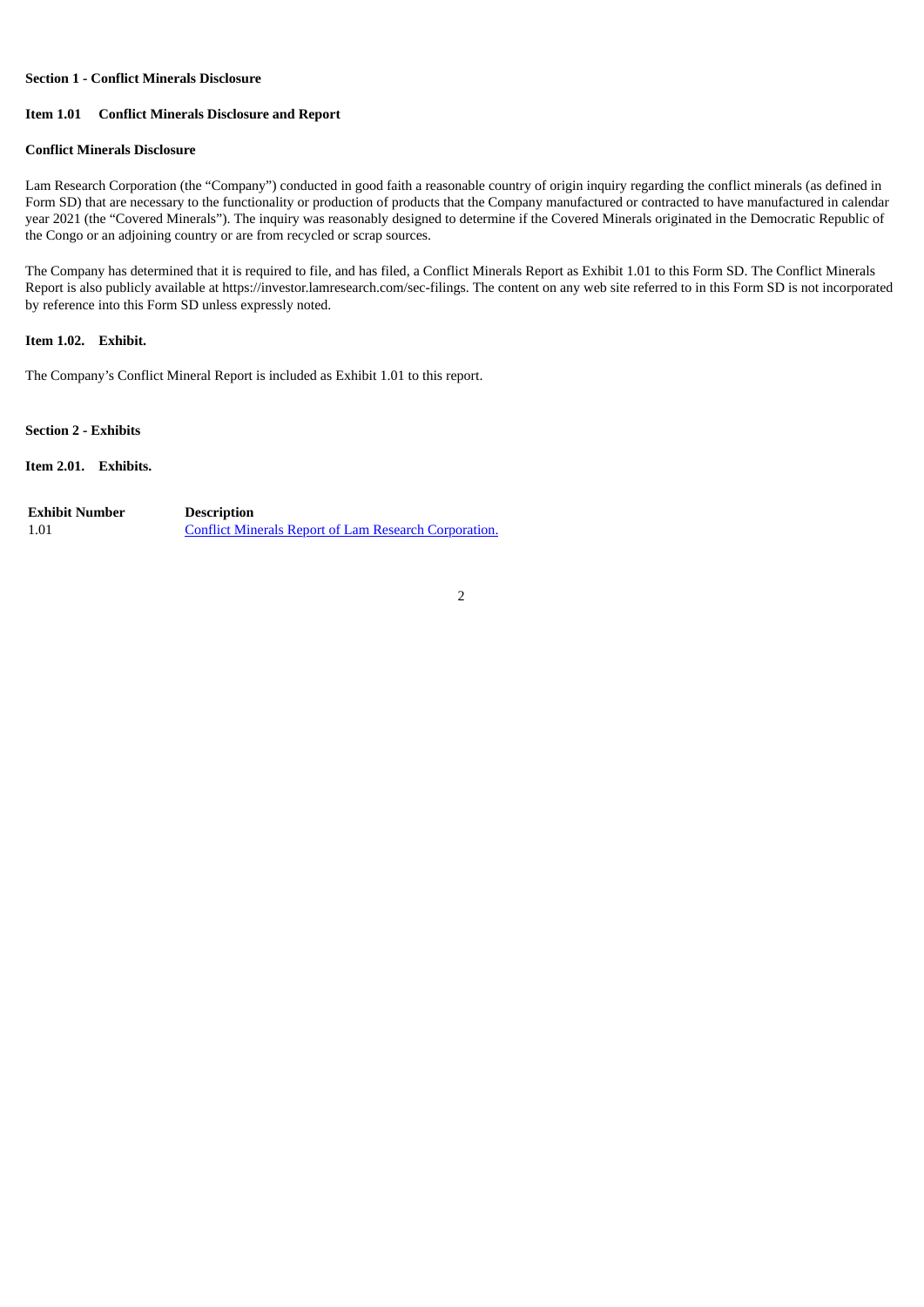#### **Section 1 - Conflict Minerals Disclosure**

# **Item 1.01 Conflict Minerals Disclosure and Report**

### **Conflict Minerals Disclosure**

Lam Research Corporation (the "Company") conducted in good faith a reasonable country of origin inquiry regarding the conflict minerals (as defined in Form SD) that are necessary to the functionality or production of products that the Company manufactured or contracted to have manufactured in calendar year 2021 (the "Covered Minerals"). The inquiry was reasonably designed to determine if the Covered Minerals originated in the Democratic Republic of the Congo or an adjoining country or are from recycled or scrap sources.

The Company has determined that it is required to file, and has filed, a Conflict Minerals Report as Exhibit 1.01 to this Form SD. The Conflict Minerals Report is also publicly available at https://investor.lamresearch.com/sec-filings. The content on any web site referred to in this Form SD is not incorporated by reference into this Form SD unless expressly noted.

# **Item 1.02. Exhibit.**

The Company's Conflict Mineral Report is included as Exhibit 1.01 to this report.

**Section 2 - Exhibits**

# **Item 2.01. Exhibits.**

| <b>Exhibit Number</b> | <b>Description</b>                                           |
|-----------------------|--------------------------------------------------------------|
| 1.01                  | <b>Conflict Minerals Report of Lam Research Corporation.</b> |

2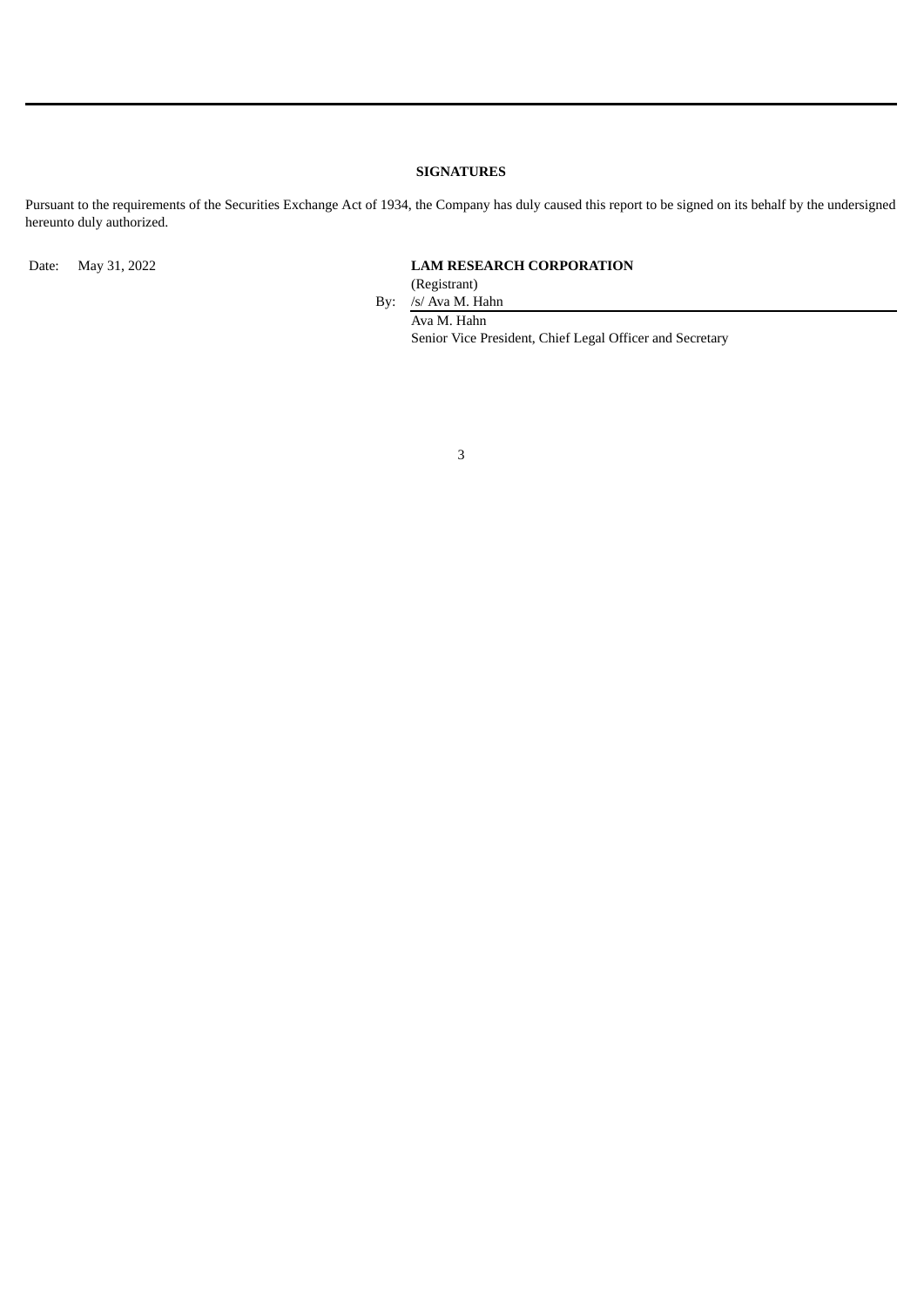# **SIGNATURES**

Pursuant to the requirements of the Securities Exchange Act of 1934, the Company has duly caused this report to be signed on its behalf by the undersigned hereunto duly authorized.

# Date: May 31, 2022 **LAM RESEARCH CORPORATION**

(Registrant)

By: /s/ Ava M. Hahn Ava M. Hahn Senior Vice President, Chief Legal Officer and Secretary

3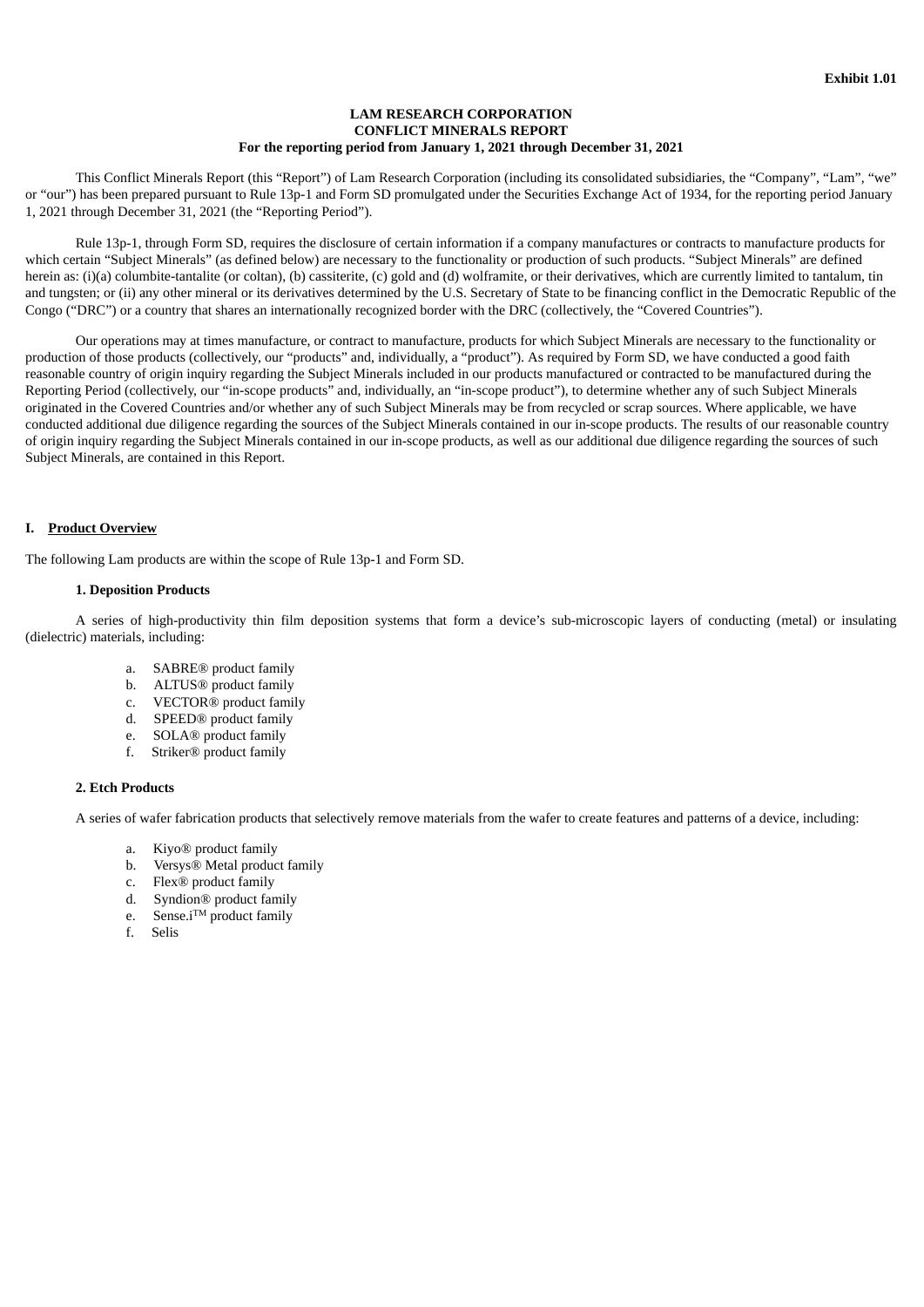# **LAM RESEARCH CORPORATION CONFLICT MINERALS REPORT For the reporting period from January 1, 2021 through December 31, 2021**

<span id="page-3-0"></span>This Conflict Minerals Report (this "Report") of Lam Research Corporation (including its consolidated subsidiaries, the "Company", "Lam", "we" or "our") has been prepared pursuant to Rule 13p-1 and Form SD promulgated under the Securities Exchange Act of 1934, for the reporting period January 1, 2021 through December 31, 2021 (the "Reporting Period").

Rule 13p-1, through Form SD, requires the disclosure of certain information if a company manufactures or contracts to manufacture products for which certain "Subject Minerals" (as defined below) are necessary to the functionality or production of such products. "Subject Minerals" are defined herein as: (i)(a) columbite-tantalite (or coltan), (b) cassiterite, (c) gold and (d) wolframite, or their derivatives, which are currently limited to tantalum, tin and tungsten; or (ii) any other mineral or its derivatives determined by the U.S. Secretary of State to be financing conflict in the Democratic Republic of the Congo ("DRC") or a country that shares an internationally recognized border with the DRC (collectively, the "Covered Countries").

Our operations may at times manufacture, or contract to manufacture, products for which Subject Minerals are necessary to the functionality or production of those products (collectively, our "products" and, individually, a "product"). As required by Form SD, we have conducted a good faith reasonable country of origin inquiry regarding the Subject Minerals included in our products manufactured or contracted to be manufactured during the Reporting Period (collectively, our "in-scope products" and, individually, an "in-scope product"), to determine whether any of such Subject Minerals originated in the Covered Countries and/or whether any of such Subject Minerals may be from recycled or scrap sources. Where applicable, we have conducted additional due diligence regarding the sources of the Subject Minerals contained in our in-scope products. The results of our reasonable country of origin inquiry regarding the Subject Minerals contained in our in-scope products, as well as our additional due diligence regarding the sources of such Subject Minerals, are contained in this Report.

# **I. Product Overview**

The following Lam products are within the scope of Rule 13p-1 and Form SD.

#### **1. Deposition Products**

A series of high-productivity thin film deposition systems that form a device's sub-microscopic layers of conducting (metal) or insulating (dielectric) materials, including:

- a. SABRE® product family
- b. ALTUS® product family
- c. VECTOR® product family
- d. SPEED® product family
- e. SOLA® product family
- f. Striker® product family

#### **2. Etch Products**

A series of wafer fabrication products that selectively remove materials from the wafer to create features and patterns of a device, including:

- a. Kiyo® product family
- b. Versys® Metal product family
- c. Flex® product family
- d. Syndion® product family
- e. Sense.i<sup>TM</sup> product family
- f. Selis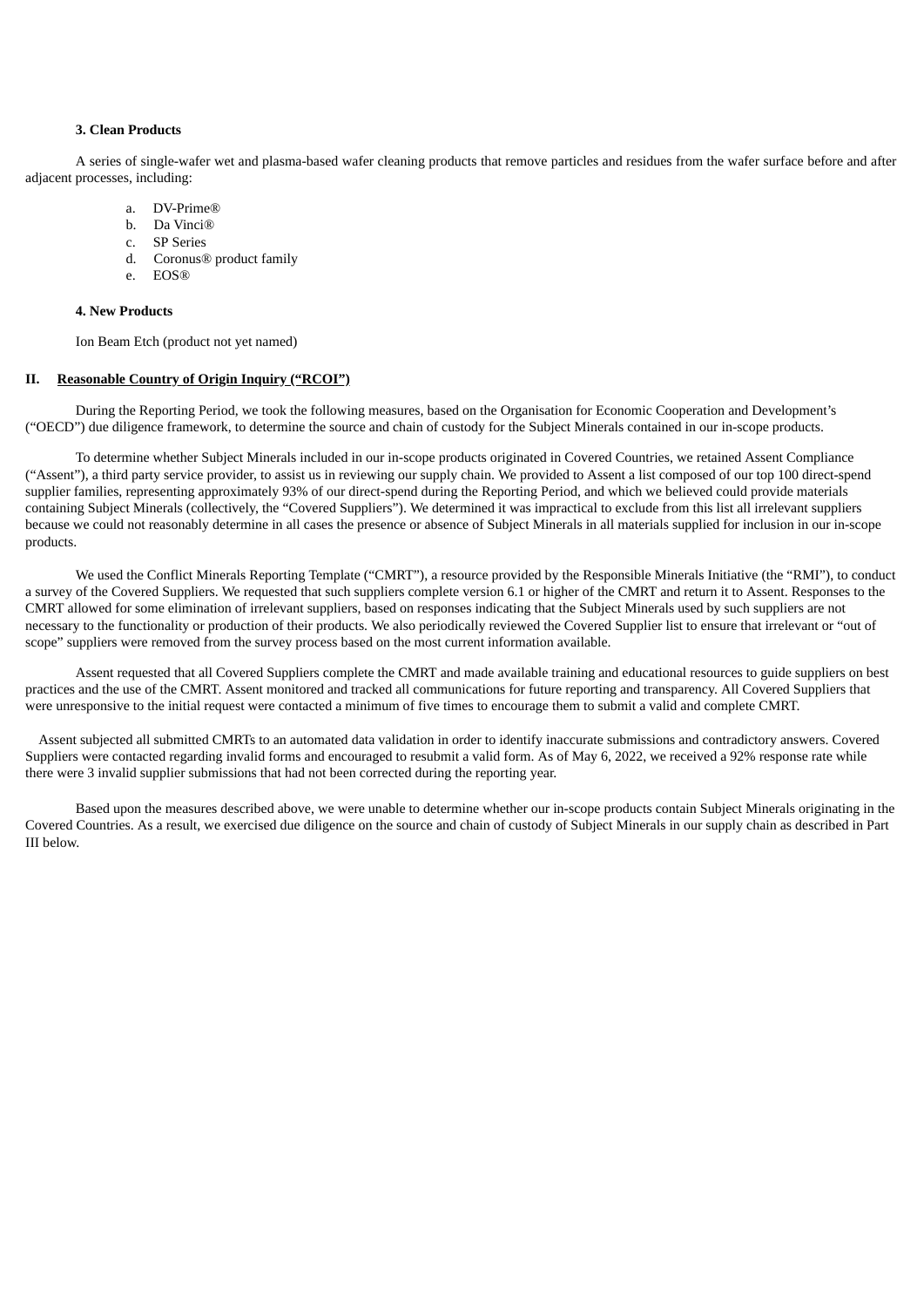#### **3. Clean Products**

A series of single-wafer wet and plasma-based wafer cleaning products that remove particles and residues from the wafer surface before and after adjacent processes, including:

- a. DV-Prime®
- b. Da Vinci®
- c. SP Series
- d. Coronus® product family
- e. EOS®

#### **4. New Products**

Ion Beam Etch (product not yet named)

# **II. Reasonable Country of Origin Inquiry ("RCOI")**

During the Reporting Period, we took the following measures, based on the Organisation for Economic Cooperation and Development's ("OECD") due diligence framework, to determine the source and chain of custody for the Subject Minerals contained in our in-scope products.

To determine whether Subject Minerals included in our in-scope products originated in Covered Countries, we retained Assent Compliance ("Assent"), a third party service provider, to assist us in reviewing our supply chain. We provided to Assent a list composed of our top 100 direct-spend supplier families, representing approximately 93% of our direct-spend during the Reporting Period, and which we believed could provide materials containing Subject Minerals (collectively, the "Covered Suppliers"). We determined it was impractical to exclude from this list all irrelevant suppliers because we could not reasonably determine in all cases the presence or absence of Subject Minerals in all materials supplied for inclusion in our in-scope products.

We used the Conflict Minerals Reporting Template ("CMRT"), a resource provided by the Responsible Minerals Initiative (the "RMI"), to conduct a survey of the Covered Suppliers. We requested that such suppliers complete version 6.1 or higher of the CMRT and return it to Assent. Responses to the CMRT allowed for some elimination of irrelevant suppliers, based on responses indicating that the Subject Minerals used by such suppliers are not necessary to the functionality or production of their products. We also periodically reviewed the Covered Supplier list to ensure that irrelevant or "out of scope" suppliers were removed from the survey process based on the most current information available.

Assent requested that all Covered Suppliers complete the CMRT and made available training and educational resources to guide suppliers on best practices and the use of the CMRT. Assent monitored and tracked all communications for future reporting and transparency. All Covered Suppliers that were unresponsive to the initial request were contacted a minimum of five times to encourage them to submit a valid and complete CMRT.

Assent subjected all submitted CMRTs to an automated data validation in order to identify inaccurate submissions and contradictory answers. Covered Suppliers were contacted regarding invalid forms and encouraged to resubmit a valid form. As of May 6, 2022, we received a 92% response rate while there were 3 invalid supplier submissions that had not been corrected during the reporting year.

Based upon the measures described above, we were unable to determine whether our in-scope products contain Subject Minerals originating in the Covered Countries. As a result, we exercised due diligence on the source and chain of custody of Subject Minerals in our supply chain as described in Part III below.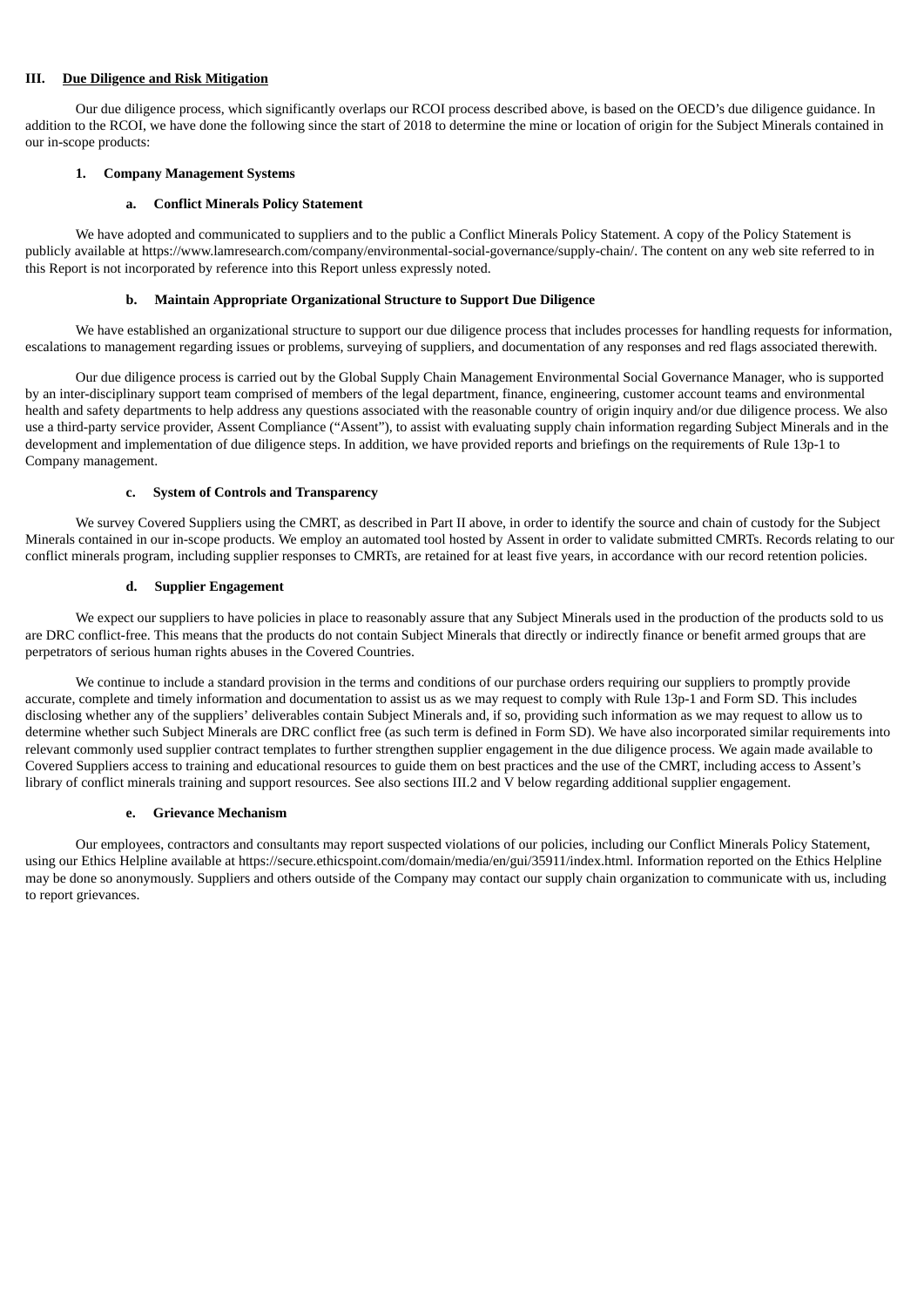#### **III. Due Diligence and Risk Mitigation**

Our due diligence process, which significantly overlaps our RCOI process described above, is based on the OECD's due diligence guidance. In addition to the RCOI, we have done the following since the start of 2018 to determine the mine or location of origin for the Subject Minerals contained in our in-scope products:

#### **1. Company Management Systems**

#### **a. Conflict Minerals Policy Statement**

We have adopted and communicated to suppliers and to the public a Conflict Minerals Policy Statement. A copy of the Policy Statement is publicly available at https://www.lamresearch.com/company/environmental-social-governance/supply-chain/. The content on any web site referred to in this Report is not incorporated by reference into this Report unless expressly noted.

#### **b. Maintain Appropriate Organizational Structure to Support Due Diligence**

We have established an organizational structure to support our due diligence process that includes processes for handling requests for information, escalations to management regarding issues or problems, surveying of suppliers, and documentation of any responses and red flags associated therewith.

Our due diligence process is carried out by the Global Supply Chain Management Environmental Social Governance Manager, who is supported by an inter-disciplinary support team comprised of members of the legal department, finance, engineering, customer account teams and environmental health and safety departments to help address any questions associated with the reasonable country of origin inquiry and/or due diligence process. We also use a third-party service provider, Assent Compliance ("Assent"), to assist with evaluating supply chain information regarding Subject Minerals and in the development and implementation of due diligence steps. In addition, we have provided reports and briefings on the requirements of Rule 13p-1 to Company management.

#### **c. System of Controls and Transparency**

We survey Covered Suppliers using the CMRT, as described in Part II above, in order to identify the source and chain of custody for the Subject Minerals contained in our in-scope products. We employ an automated tool hosted by Assent in order to validate submitted CMRTs. Records relating to our conflict minerals program, including supplier responses to CMRTs, are retained for at least five years, in accordance with our record retention policies.

#### **d. Supplier Engagement**

We expect our suppliers to have policies in place to reasonably assure that any Subject Minerals used in the production of the products sold to us are DRC conflict-free. This means that the products do not contain Subject Minerals that directly or indirectly finance or benefit armed groups that are perpetrators of serious human rights abuses in the Covered Countries.

We continue to include a standard provision in the terms and conditions of our purchase orders requiring our suppliers to promptly provide accurate, complete and timely information and documentation to assist us as we may request to comply with Rule 13p-1 and Form SD. This includes disclosing whether any of the suppliers' deliverables contain Subject Minerals and, if so, providing such information as we may request to allow us to determine whether such Subject Minerals are DRC conflict free (as such term is defined in Form SD). We have also incorporated similar requirements into relevant commonly used supplier contract templates to further strengthen supplier engagement in the due diligence process. We again made available to Covered Suppliers access to training and educational resources to guide them on best practices and the use of the CMRT, including access to Assent's library of conflict minerals training and support resources. See also sections III.2 and V below regarding additional supplier engagement.

#### **e. Grievance Mechanism**

Our employees, contractors and consultants may report suspected violations of our policies, including our Conflict Minerals Policy Statement, using our Ethics Helpline available at https://secure.ethicspoint.com/domain/media/en/gui/35911/index.html. Information reported on the Ethics Helpline may be done so anonymously. Suppliers and others outside of the Company may contact our supply chain organization to communicate with us, including to report grievances.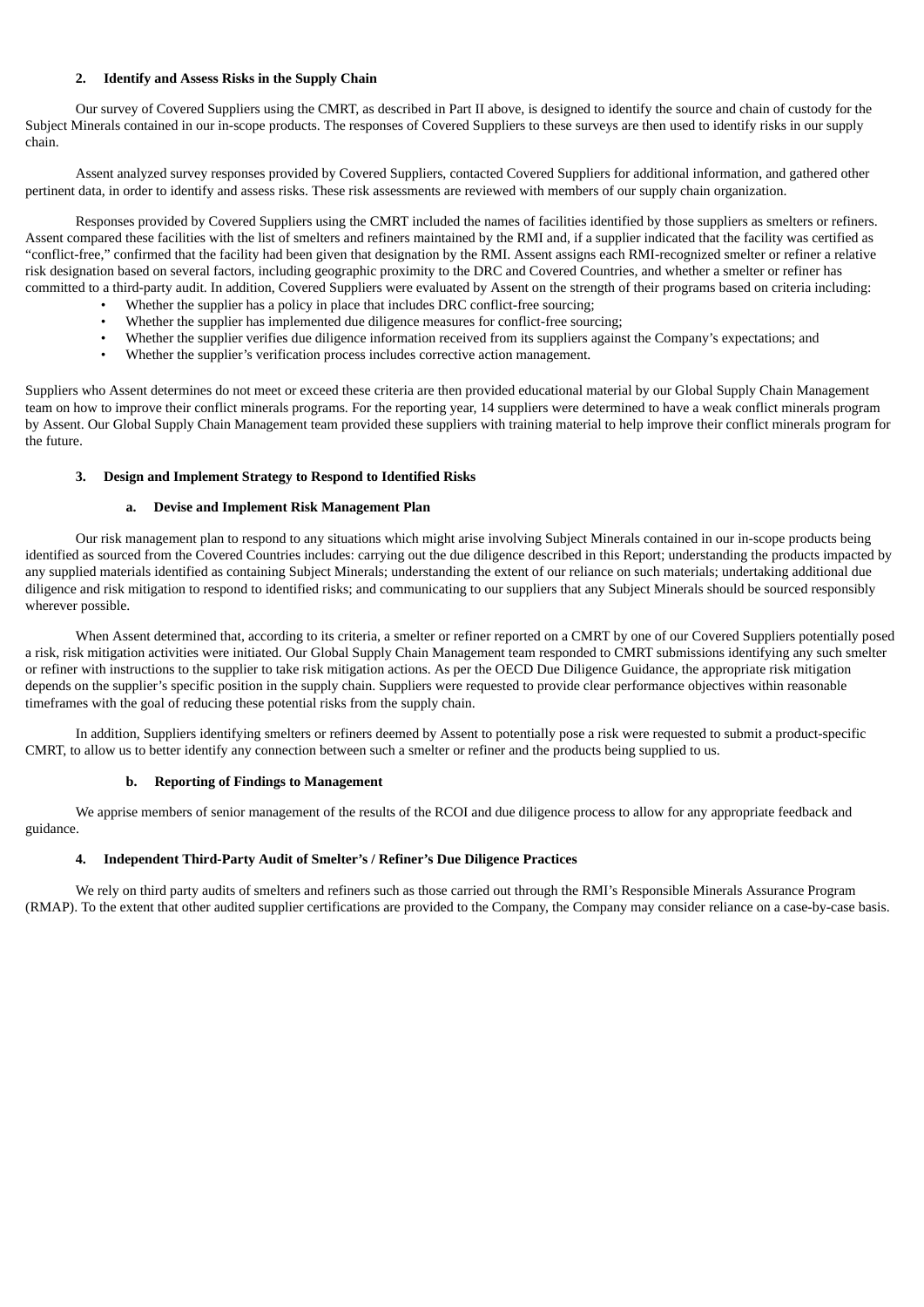# **2. Identify and Assess Risks in the Supply Chain**

Our survey of Covered Suppliers using the CMRT, as described in Part II above, is designed to identify the source and chain of custody for the Subject Minerals contained in our in-scope products. The responses of Covered Suppliers to these surveys are then used to identify risks in our supply chain.

Assent analyzed survey responses provided by Covered Suppliers, contacted Covered Suppliers for additional information, and gathered other pertinent data, in order to identify and assess risks. These risk assessments are reviewed with members of our supply chain organization.

Responses provided by Covered Suppliers using the CMRT included the names of facilities identified by those suppliers as smelters or refiners. Assent compared these facilities with the list of smelters and refiners maintained by the RMI and, if a supplier indicated that the facility was certified as "conflict-free," confirmed that the facility had been given that designation by the RMI. Assent assigns each RMI-recognized smelter or refiner a relative risk designation based on several factors, including geographic proximity to the DRC and Covered Countries, and whether a smelter or refiner has committed to a third-party audit. In addition, Covered Suppliers were evaluated by Assent on the strength of their programs based on criteria including:

- Whether the supplier has a policy in place that includes DRC conflict-free sourcing;
- Whether the supplier has implemented due diligence measures for conflict-free sourcing;
- Whether the supplier verifies due diligence information received from its suppliers against the Company's expectations; and
- Whether the supplier's verification process includes corrective action management.

Suppliers who Assent determines do not meet or exceed these criteria are then provided educational material by our Global Supply Chain Management team on how to improve their conflict minerals programs. For the reporting year, 14 suppliers were determined to have a weak conflict minerals program by Assent. Our Global Supply Chain Management team provided these suppliers with training material to help improve their conflict minerals program for the future.

#### **3. Design and Implement Strategy to Respond to Identified Risks**

#### **a. Devise and Implement Risk Management Plan**

Our risk management plan to respond to any situations which might arise involving Subject Minerals contained in our in-scope products being identified as sourced from the Covered Countries includes: carrying out the due diligence described in this Report; understanding the products impacted by any supplied materials identified as containing Subject Minerals; understanding the extent of our reliance on such materials; undertaking additional due diligence and risk mitigation to respond to identified risks; and communicating to our suppliers that any Subject Minerals should be sourced responsibly wherever possible.

When Assent determined that, according to its criteria, a smelter or refiner reported on a CMRT by one of our Covered Suppliers potentially posed a risk, risk mitigation activities were initiated. Our Global Supply Chain Management team responded to CMRT submissions identifying any such smelter or refiner with instructions to the supplier to take risk mitigation actions. As per the OECD Due Diligence Guidance, the appropriate risk mitigation depends on the supplier's specific position in the supply chain. Suppliers were requested to provide clear performance objectives within reasonable timeframes with the goal of reducing these potential risks from the supply chain.

In addition, Suppliers identifying smelters or refiners deemed by Assent to potentially pose a risk were requested to submit a product-specific CMRT, to allow us to better identify any connection between such a smelter or refiner and the products being supplied to us.

#### **b. Reporting of Findings to Management**

We apprise members of senior management of the results of the RCOI and due diligence process to allow for any appropriate feedback and guidance.

# **4. Independent Third-Party Audit of Smelter's / Refiner's Due Diligence Practices**

We rely on third party audits of smelters and refiners such as those carried out through the RMI's Responsible Minerals Assurance Program (RMAP). To the extent that other audited supplier certifications are provided to the Company, the Company may consider reliance on a case-by-case basis.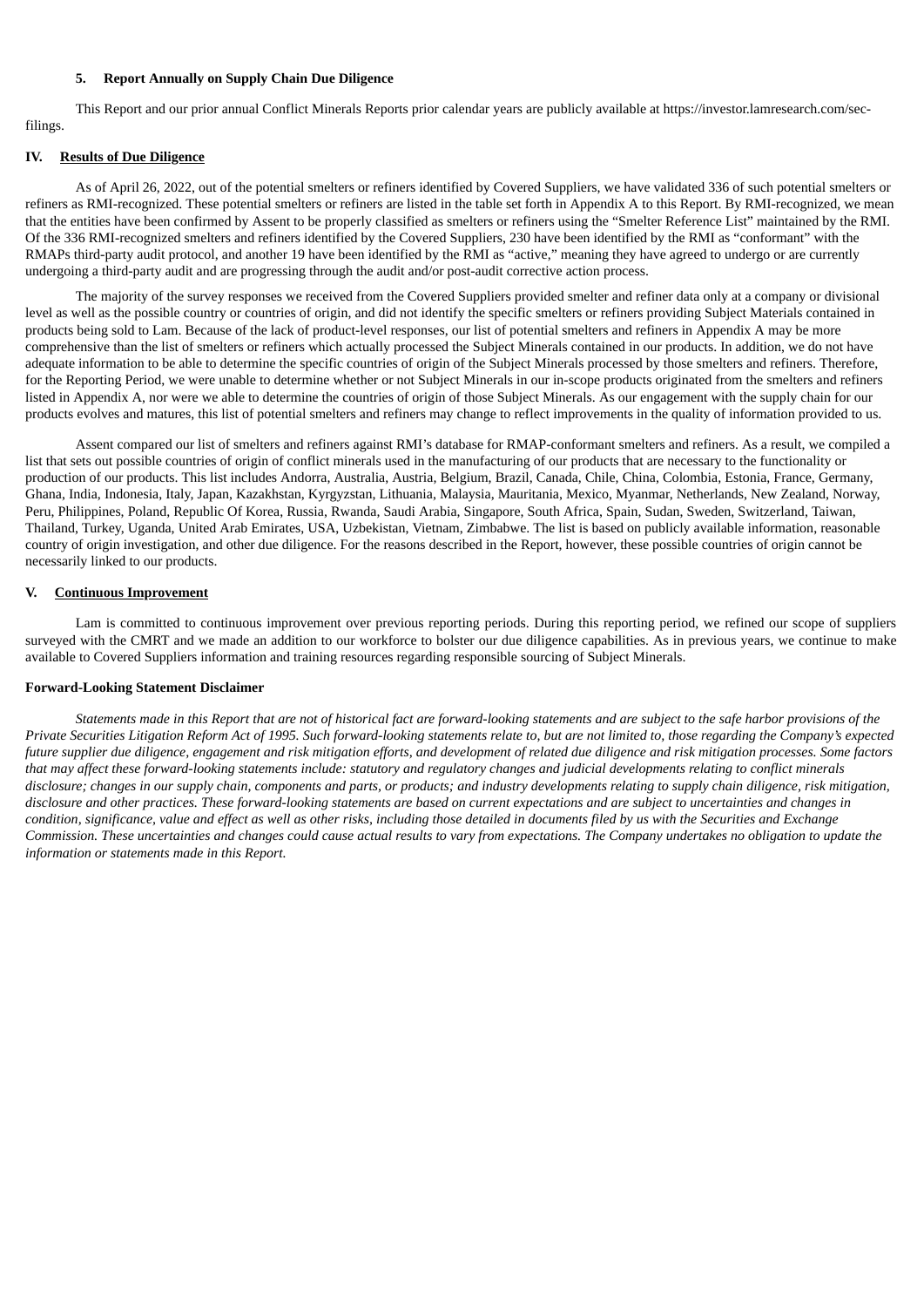# **5. Report Annually on Supply Chain Due Diligence**

This Report and our prior annual Conflict Minerals Reports prior calendar years are publicly available at https://investor.lamresearch.com/secfilings.

#### **IV. Results of Due Diligence**

As of April 26, 2022, out of the potential smelters or refiners identified by Covered Suppliers, we have validated 336 of such potential smelters or refiners as RMI-recognized. These potential smelters or refiners are listed in the table set forth in Appendix A to this Report. By RMI-recognized, we mean that the entities have been confirmed by Assent to be properly classified as smelters or refiners using the "Smelter Reference List" maintained by the RMI. Of the 336 RMI-recognized smelters and refiners identified by the Covered Suppliers, 230 have been identified by the RMI as "conformant" with the RMAPs third-party audit protocol, and another 19 have been identified by the RMI as "active," meaning they have agreed to undergo or are currently undergoing a third-party audit and are progressing through the audit and/or post-audit corrective action process.

The majority of the survey responses we received from the Covered Suppliers provided smelter and refiner data only at a company or divisional level as well as the possible country or countries of origin, and did not identify the specific smelters or refiners providing Subject Materials contained in products being sold to Lam. Because of the lack of product-level responses, our list of potential smelters and refiners in Appendix A may be more comprehensive than the list of smelters or refiners which actually processed the Subject Minerals contained in our products. In addition, we do not have adequate information to be able to determine the specific countries of origin of the Subject Minerals processed by those smelters and refiners. Therefore, for the Reporting Period, we were unable to determine whether or not Subject Minerals in our in-scope products originated from the smelters and refiners listed in Appendix A, nor were we able to determine the countries of origin of those Subject Minerals. As our engagement with the supply chain for our products evolves and matures, this list of potential smelters and refiners may change to reflect improvements in the quality of information provided to us.

Assent compared our list of smelters and refiners against RMI's database for RMAP-conformant smelters and refiners. As a result, we compiled a list that sets out possible countries of origin of conflict minerals used in the manufacturing of our products that are necessary to the functionality or production of our products. This list includes Andorra, Australia, Austria, Belgium, Brazil, Canada, Chile, China, Colombia, Estonia, France, Germany, Ghana, India, Indonesia, Italy, Japan, Kazakhstan, Kyrgyzstan, Lithuania, Malaysia, Mauritania, Mexico, Myanmar, Netherlands, New Zealand, Norway, Peru, Philippines, Poland, Republic Of Korea, Russia, Rwanda, Saudi Arabia, Singapore, South Africa, Spain, Sudan, Sweden, Switzerland, Taiwan, Thailand, Turkey, Uganda, United Arab Emirates, USA, Uzbekistan, Vietnam, Zimbabwe. The list is based on publicly available information, reasonable country of origin investigation, and other due diligence. For the reasons described in the Report, however, these possible countries of origin cannot be necessarily linked to our products.

#### **V. Continuous Improvement**

Lam is committed to continuous improvement over previous reporting periods. During this reporting period, we refined our scope of suppliers surveyed with the CMRT and we made an addition to our workforce to bolster our due diligence capabilities. As in previous years, we continue to make available to Covered Suppliers information and training resources regarding responsible sourcing of Subject Minerals.

# **Forward-Looking Statement Disclaimer**

Statements made in this Report that are not of historical fact are forward-looking statements and are subject to the safe harbor provisions of the Private Securities Litigation Reform Act of 1995. Such forward-looking statements relate to, but are not limited to, those regarding the Company's expected future supplier due diligence, engagement and risk mitigation efforts, and development of related due diligence and risk mitigation processes. Some factors that may affect these forward-looking statements include: statutory and regulatory changes and judicial developments relating to conflict minerals disclosure; changes in our supply chain, components and parts, or products; and industry developments relating to supply chain diligence, risk mitigation, disclosure and other practices. These forward-looking statements are based on current expectations and are subject to uncertainties and changes in condition, significance, value and effect as well as other risks, including those detailed in documents filed by us with the Securities and Exchange Commission. These uncertainties and changes could cause actual results to vary from expectations. The Company undertakes no obligation to update the *information or statements made in this Report.*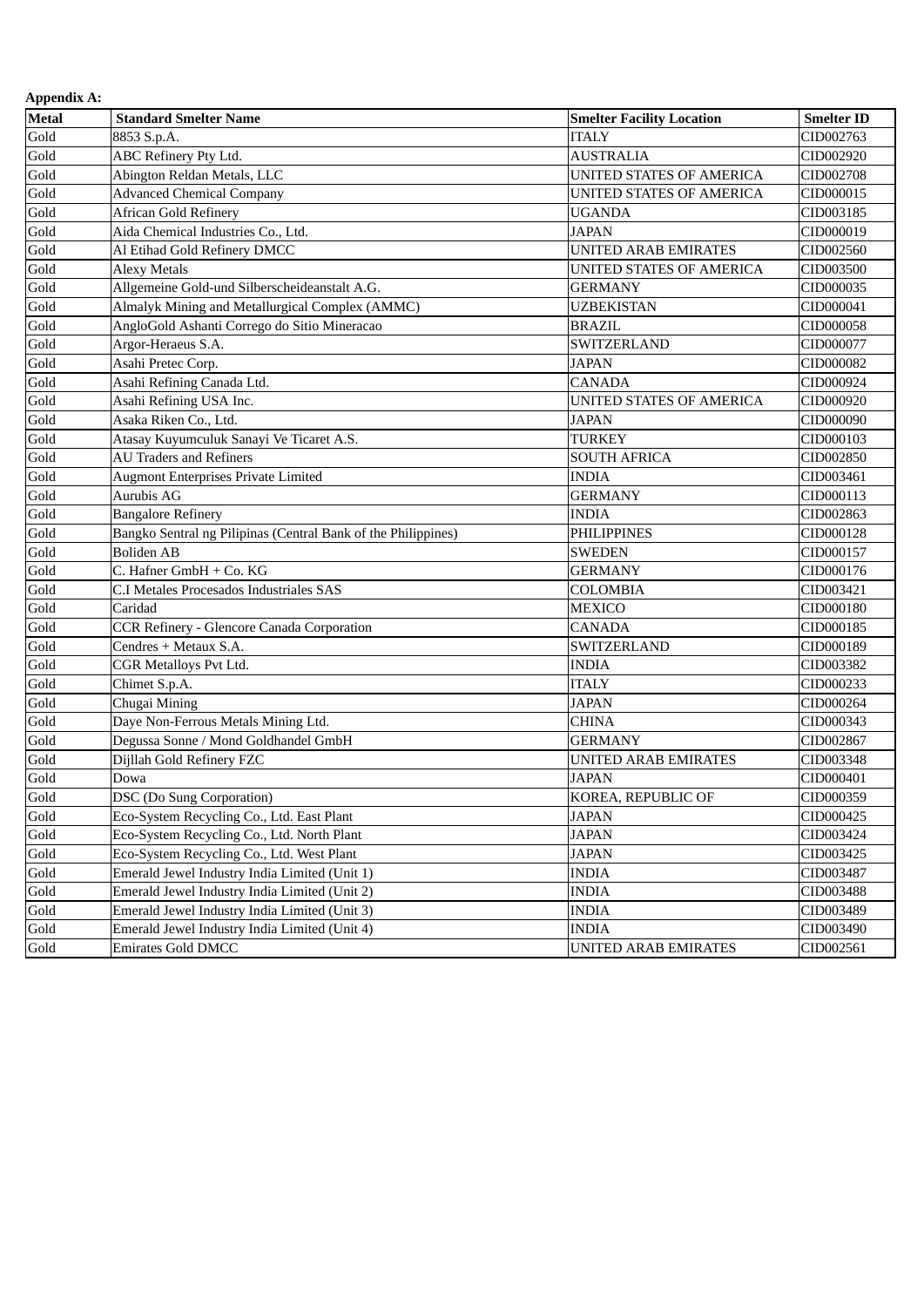| <b>Metal</b> | <b>Standard Smelter Name</b>                                  | <b>Smelter Facility Location</b> | <b>Smelter ID</b> |
|--------------|---------------------------------------------------------------|----------------------------------|-------------------|
| Gold         | 8853 S.p.A.                                                   | <b>ITALY</b>                     | CID002763         |
| Gold         | ABC Refinery Pty Ltd.                                         | <b>AUSTRALIA</b>                 | CID002920         |
| Gold         | Abington Reldan Metals, LLC                                   | UNITED STATES OF AMERICA         | CID002708         |
| Gold         | <b>Advanced Chemical Company</b>                              | UNITED STATES OF AMERICA         | CID000015         |
| Gold         | <b>African Gold Refinery</b>                                  | <b>UGANDA</b>                    | CID003185         |
| Gold         | Aida Chemical Industries Co., Ltd.                            | <b>JAPAN</b>                     | CID000019         |
| Gold         | Al Etihad Gold Refinery DMCC                                  | <b>UNITED ARAB EMIRATES</b>      | CID002560         |
| Gold         | <b>Alexy Metals</b>                                           | <b>UNITED STATES OF AMERICA</b>  | CID003500         |
| Gold         | Allgemeine Gold-und Silberscheideanstalt A.G.                 | <b>GERMANY</b>                   | CID000035         |
| Gold         | Almalyk Mining and Metallurgical Complex (AMMC)               | <b>UZBEKISTAN</b>                | CID000041         |
| Gold         | AngloGold Ashanti Corrego do Sitio Mineracao                  | <b>BRAZIL</b>                    | CID000058         |
| Gold         | Argor-Heraeus S.A.                                            | SWITZERLAND                      | CID000077         |
| Gold         | Asahi Pretec Corp.                                            | <b>JAPAN</b>                     | CID000082         |
| Gold         | Asahi Refining Canada Ltd.                                    | <b>CANADA</b>                    | CID000924         |
| Gold         | Asahi Refining USA Inc.                                       | <b>UNITED STATES OF AMERICA</b>  | CID000920         |
| Gold         | Asaka Riken Co., Ltd.                                         | <b>JAPAN</b>                     | CID000090         |
| Gold         | Atasay Kuyumculuk Sanayi Ve Ticaret A.S.                      | <b>TURKEY</b>                    | CID000103         |
| Gold         | <b>AU Traders and Refiners</b>                                | <b>SOUTH AFRICA</b>              | CID002850         |
| Gold         | <b>Augmont Enterprises Private Limited</b>                    | <b>INDIA</b>                     | CID003461         |
| Gold         | Aurubis AG                                                    | <b>GERMANY</b>                   | CID000113         |
| Gold         | <b>Bangalore Refinery</b>                                     | <b>INDIA</b>                     | CID002863         |
| Gold         | Bangko Sentral ng Pilipinas (Central Bank of the Philippines) | <b>PHILIPPINES</b>               | CID000128         |
| Gold         | <b>Boliden AB</b>                                             | <b>SWEDEN</b>                    | CID000157         |
| Gold         | C. Hafner GmbH + Co. KG                                       | <b>GERMANY</b>                   | CID000176         |
| Gold         | C.I Metales Procesados Industriales SAS                       | <b>COLOMBIA</b>                  | CID003421         |
| Gold         | Caridad                                                       | <b>MEXICO</b>                    | CID000180         |
| Gold         | <b>CCR Refinery - Glencore Canada Corporation</b>             | <b>CANADA</b>                    | CID000185         |
| Gold         | Cendres + Metaux S.A.                                         | <b>SWITZERLAND</b>               | CID000189         |
| Gold         | <b>CGR Metalloys Pvt Ltd.</b>                                 | <b>INDIA</b>                     | CID003382         |
| Gold         | Chimet S.p.A.                                                 | <b>ITALY</b>                     | CID000233         |
| Gold         | Chugai Mining                                                 | <b>JAPAN</b>                     | CID000264         |
| Gold         | Daye Non-Ferrous Metals Mining Ltd.                           | <b>CHINA</b>                     | CID000343         |
| Gold         | Degussa Sonne / Mond Goldhandel GmbH                          | <b>GERMANY</b>                   | CID002867         |
| Gold         | Dijllah Gold Refinery FZC                                     | <b>UNITED ARAB EMIRATES</b>      | CID003348         |
| Gold         | Dowa                                                          | <b>JAPAN</b>                     | CID000401         |
| Gold         | DSC (Do Sung Corporation)                                     | KOREA, REPUBLIC OF               | CID000359         |
| Gold         | Eco-System Recycling Co., Ltd. East Plant                     | <b>JAPAN</b>                     | CID000425         |
| Gold         | Eco-System Recycling Co., Ltd. North Plant                    | <b>JAPAN</b>                     | CID003424         |
| Gold         | Eco-System Recycling Co., Ltd. West Plant                     | <b>JAPAN</b>                     | CID003425         |
| Gold         | Emerald Jewel Industry India Limited (Unit 1)                 | <b>INDIA</b>                     | CID003487         |
| Gold         | Emerald Jewel Industry India Limited (Unit 2)                 | <b>INDIA</b>                     | CID003488         |
| Gold         | Emerald Jewel Industry India Limited (Unit 3)                 | <b>INDIA</b>                     | CID003489         |
| Gold         | Emerald Jewel Industry India Limited (Unit 4)                 | <b>INDIA</b>                     | CID003490         |
| Gold         | <b>Emirates Gold DMCC</b>                                     | <b>UNITED ARAB EMIRATES</b>      | CID002561         |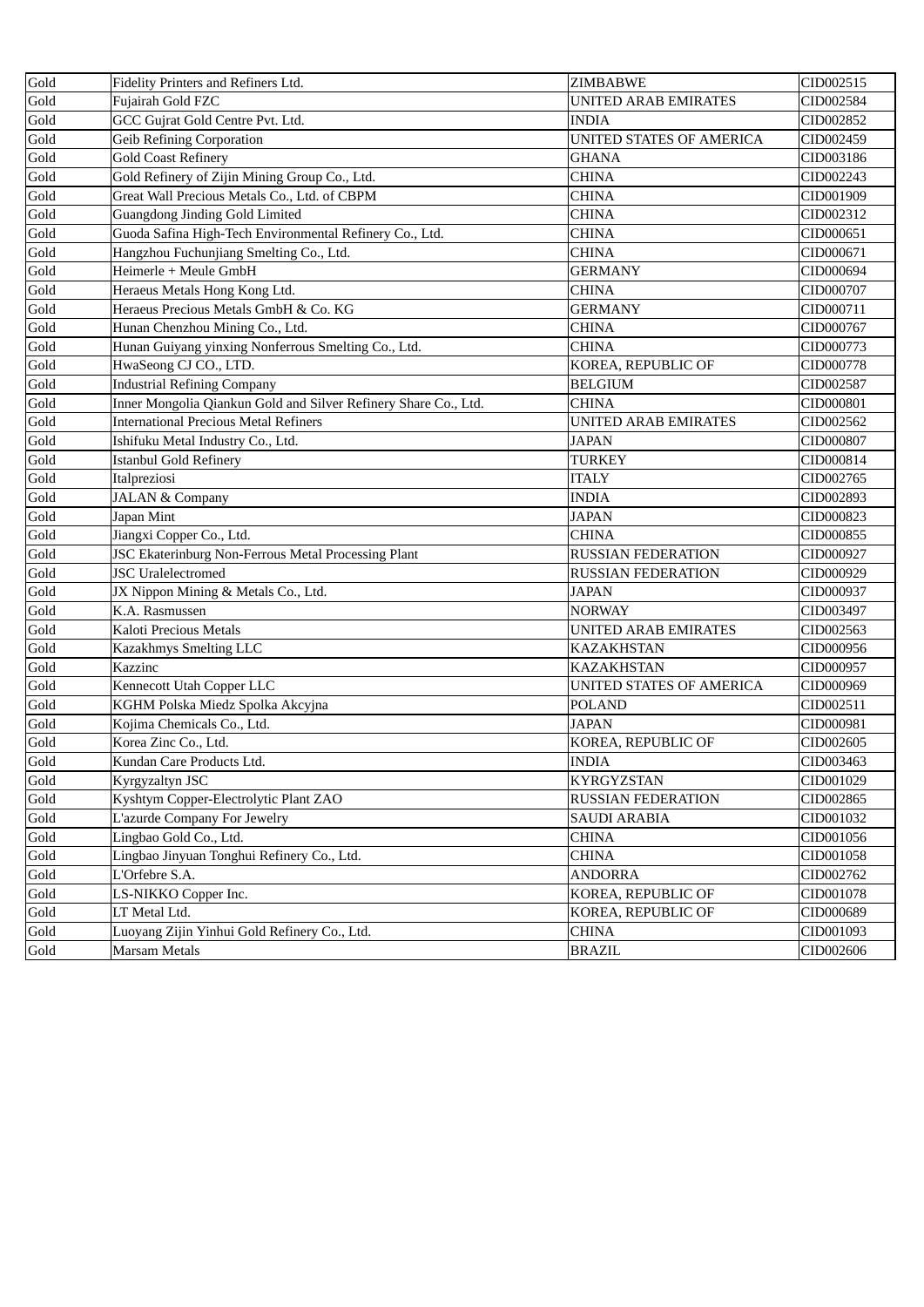| Gold | Fidelity Printers and Refiners Ltd.                             | <b>ZIMBABWE</b>             | CID002515 |
|------|-----------------------------------------------------------------|-----------------------------|-----------|
| Gold | Fujairah Gold FZC                                               | UNITED ARAB EMIRATES        | CID002584 |
| Gold | GCC Gujrat Gold Centre Pvt. Ltd.                                | <b>INDIA</b>                | CID002852 |
| Gold | <b>Geib Refining Corporation</b>                                | UNITED STATES OF AMERICA    | CID002459 |
| Gold | <b>Gold Coast Refinery</b>                                      | GHANA                       | CID003186 |
| Gold | Gold Refinery of Zijin Mining Group Co., Ltd.                   | <b>CHINA</b>                | CID002243 |
| Gold | Great Wall Precious Metals Co., Ltd. of CBPM                    | <b>CHINA</b>                | CID001909 |
| Gold | Guangdong Jinding Gold Limited                                  | <b>CHINA</b>                | CID002312 |
| Gold | Guoda Safina High-Tech Environmental Refinery Co., Ltd.         | <b>CHINA</b>                | CID000651 |
| Gold | Hangzhou Fuchunjiang Smelting Co., Ltd.                         | <b>CHINA</b>                | CID000671 |
| Gold | Heimerle + Meule GmbH                                           | <b>GERMANY</b>              | CID000694 |
| Gold | Heraeus Metals Hong Kong Ltd.                                   | <b>CHINA</b>                | CID000707 |
| Gold | Heraeus Precious Metals GmbH & Co. KG                           | <b>GERMANY</b>              | CID000711 |
| Gold | Hunan Chenzhou Mining Co., Ltd.                                 | <b>CHINA</b>                | CID000767 |
| Gold | Hunan Guiyang yinxing Nonferrous Smelting Co., Ltd.             | <b>CHINA</b>                | CID000773 |
| Gold | HwaSeong CJ CO., LTD.                                           | KOREA, REPUBLIC OF          | CID000778 |
| Gold | <b>Industrial Refining Company</b>                              | <b>BELGIUM</b>              | CID002587 |
| Gold | Inner Mongolia Qiankun Gold and Silver Refinery Share Co., Ltd. | <b>CHINA</b>                | CID000801 |
| Gold | <b>International Precious Metal Refiners</b>                    | <b>UNITED ARAB EMIRATES</b> | CID002562 |
| Gold | Ishifuku Metal Industry Co., Ltd.                               | <b>JAPAN</b>                | CID000807 |
| Gold | <b>Istanbul Gold Refinery</b>                                   | <b>TURKEY</b>               | CID000814 |
| Gold | Italpreziosi                                                    | <b>ITALY</b>                | CID002765 |
| Gold | <b>JALAN &amp; Company</b>                                      | <b>INDIA</b>                | CID002893 |
| Gold | Japan Mint                                                      | <b>JAPAN</b>                | CID000823 |
| Gold | Jiangxi Copper Co., Ltd.                                        | <b>CHINA</b>                | CID000855 |
| Gold | JSC Ekaterinburg Non-Ferrous Metal Processing Plant             | <b>RUSSIAN FEDERATION</b>   | CID000927 |
| Gold | <b>JSC</b> Uralelectromed                                       | <b>RUSSIAN FEDERATION</b>   | CID000929 |
| Gold | JX Nippon Mining & Metals Co., Ltd.                             | <b>JAPAN</b>                | CID000937 |
| Gold | K.A. Rasmussen                                                  | <b>NORWAY</b>               | CID003497 |
| Gold | Kaloti Precious Metals                                          | <b>UNITED ARAB EMIRATES</b> | CID002563 |
| Gold | Kazakhmys Smelting LLC                                          | <b>KAZAKHSTAN</b>           | CID000956 |
| Gold | Kazzinc                                                         | <b>KAZAKHSTAN</b>           | CID000957 |
| Gold | Kennecott Utah Copper LLC                                       | UNITED STATES OF AMERICA    | CID000969 |
| Gold | KGHM Polska Miedz Spolka Akcyjna                                | <b>POLAND</b>               | CID002511 |
| Gold | Kojima Chemicals Co., Ltd.                                      | <b>JAPAN</b>                | CID000981 |
| Gold | Korea Zinc Co., Ltd.                                            | KOREA, REPUBLIC OF          | CID002605 |
| Gold | Kundan Care Products Ltd.                                       | <b>INDIA</b>                | CID003463 |
| Gold | Kyrgyzaltyn JSC                                                 | <b>KYRGYZSTAN</b>           | CID001029 |
| Gold | Kyshtym Copper-Electrolytic Plant ZAO                           | RUSSIAN FEDERATION          | CID002865 |
| Gold | L'azurde Company For Jewelry                                    | <b>SAUDI ARABIA</b>         | CID001032 |
| Gold | Lingbao Gold Co., Ltd.                                          | <b>CHINA</b>                | CID001056 |
| Gold | Lingbao Jinyuan Tonghui Refinery Co., Ltd.                      | <b>CHINA</b>                | CID001058 |
| Gold | L'Orfebre S.A.                                                  | <b>ANDORRA</b>              | CID002762 |
| Gold | LS-NIKKO Copper Inc.                                            | KOREA, REPUBLIC OF          | CID001078 |
| Gold | LT Metal Ltd.                                                   | KOREA, REPUBLIC OF          | CID000689 |
| Gold | Luoyang Zijin Yinhui Gold Refinery Co., Ltd.                    | <b>CHINA</b>                | CID001093 |
| Gold | <b>Marsam Metals</b>                                            | <b>BRAZIL</b>               | CID002606 |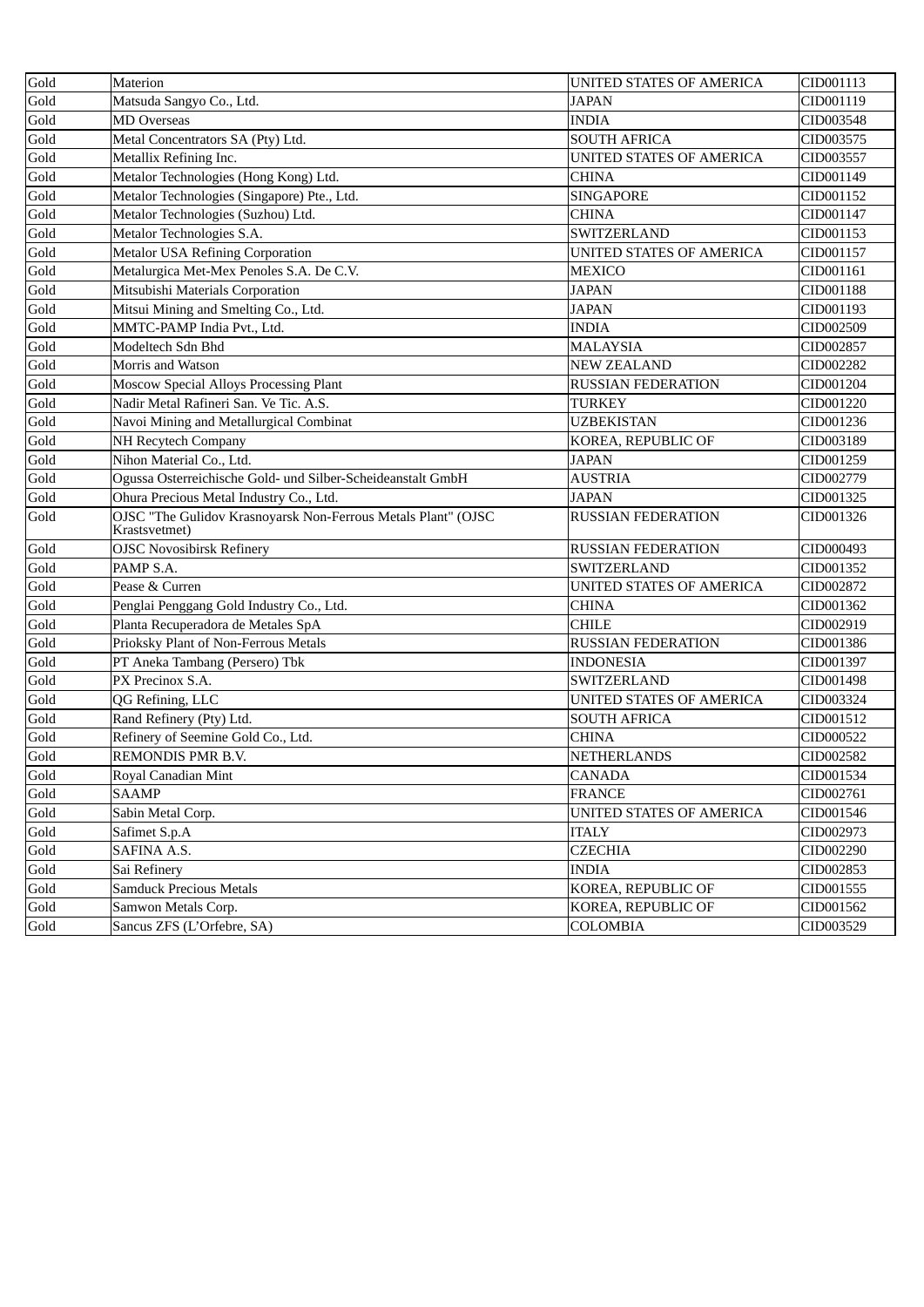| Gold               | Materion                                                                       | UNITED STATES OF AMERICA  | CID001113 |
|--------------------|--------------------------------------------------------------------------------|---------------------------|-----------|
| Gold               | Matsuda Sangyo Co., Ltd.                                                       | JAPAN                     | CID001119 |
| Gold               | <b>MD</b> Overseas                                                             | <b>INDIA</b>              | CID003548 |
| Gold               | Metal Concentrators SA (Pty) Ltd.                                              | <b>SOUTH AFRICA</b>       | CID003575 |
| Gold               | Metallix Refining Inc.                                                         | UNITED STATES OF AMERICA  | CID003557 |
| Gold               | Metalor Technologies (Hong Kong) Ltd.                                          | CHINA                     | CID001149 |
| Gold               | Metalor Technologies (Singapore) Pte., Ltd.                                    | <b>SINGAPORE</b>          | CID001152 |
| Gold               | Metalor Technologies (Suzhou) Ltd.                                             | <b>CHINA</b>              | CID001147 |
| Gold               | Metalor Technologies S.A.                                                      | SWITZERLAND               | CID001153 |
| Gold               | Metalor USA Refining Corporation                                               | UNITED STATES OF AMERICA  | CID001157 |
| Gold               | Metalurgica Met-Mex Penoles S.A. De C.V.                                       | <b>MEXICO</b>             | CID001161 |
| Gold               | Mitsubishi Materials Corporation                                               | <b>JAPAN</b>              | CID001188 |
| Gold               | Mitsui Mining and Smelting Co., Ltd.                                           | <b>JAPAN</b>              | CID001193 |
| Gold               | MMTC-PAMP India Pvt., Ltd.                                                     | <b>INDIA</b>              | CID002509 |
| Gold               | Modeltech Sdn Bhd                                                              | <b>MALAYSIA</b>           | CID002857 |
| Gold               | Morris and Watson                                                              | <b>NEW ZEALAND</b>        | CID002282 |
| Gold               | Moscow Special Alloys Processing Plant                                         | <b>RUSSIAN FEDERATION</b> | CID001204 |
| Gold               | Nadir Metal Rafineri San. Ve Tic. A.S.                                         | <b>TURKEY</b>             | CID001220 |
| Gold               | Navoi Mining and Metallurgical Combinat                                        | <b>UZBEKISTAN</b>         | CID001236 |
| Gold               | <b>NH Recytech Company</b>                                                     | KOREA, REPUBLIC OF        | CID003189 |
| Gold               | Nihon Material Co., Ltd.                                                       | <b>JAPAN</b>              | CID001259 |
| Gold               | Ogussa Osterreichische Gold- und Silber-Scheideanstalt GmbH                    | <b>AUSTRIA</b>            | CID002779 |
| Gold               | Ohura Precious Metal Industry Co., Ltd.                                        | <b>JAPAN</b>              | CID001325 |
| Gold               | OJSC "The Gulidov Krasnoyarsk Non-Ferrous Metals Plant" (OJSC<br>Krastsvetmet) | <b>RUSSIAN FEDERATION</b> | CID001326 |
| Gold               | <b>OJSC Novosibirsk Refinery</b>                                               | <b>RUSSIAN FEDERATION</b> | CID000493 |
| Gold               | PAMP S.A.                                                                      | SWITZERLAND               | CID001352 |
| Gold               | Pease & Curren                                                                 | UNITED STATES OF AMERICA  | CID002872 |
| Gold               | Penglai Penggang Gold Industry Co., Ltd.                                       | <b>CHINA</b>              | CID001362 |
| Gold               | Planta Recuperadora de Metales SpA                                             | <b>CHILE</b>              | CID002919 |
| Gold               | Prioksky Plant of Non-Ferrous Metals                                           | <b>RUSSIAN FEDERATION</b> | CID001386 |
| Gold               | PT Aneka Tambang (Persero) Tbk                                                 | <b>INDONESIA</b>          | CID001397 |
| Gold               | PX Precinox S.A.                                                               | SWITZERLAND               | CID001498 |
| Gold               | QG Refining, LLC                                                               | UNITED STATES OF AMERICA  | CID003324 |
| Gold               | Rand Refinery (Pty) Ltd.                                                       | <b>SOUTH AFRICA</b>       | CID001512 |
| Gold               | Refinery of Seemine Gold Co., Ltd.                                             | <b>CHINA</b>              | CID000522 |
| Gold               | REMONDIS PMR B.V.                                                              | NETHERLANDS               | CID002582 |
| Gold               | Royal Canadian Mint                                                            | <b>CANADA</b>             | CID001534 |
| Gold               | <b>SAAMP</b>                                                                   | <b>FRANCE</b>             | CID002761 |
| Gold               | Sabin Metal Corp.                                                              | UNITED STATES OF AMERICA  | CID001546 |
| Gold               | Safimet S.p.A                                                                  | <b>ITALY</b>              | CID002973 |
| Gold               | SAFINA A.S.                                                                    | <b>CZECHIA</b>            | CID002290 |
| Gold               | Sai Refinery                                                                   | <b>INDIA</b>              | CID002853 |
| Gold               | <b>Samduck Precious Metals</b>                                                 | KOREA, REPUBLIC OF        | CID001555 |
| $\overline{G}$ old | Samwon Metals Corp.                                                            | KOREA, REPUBLIC OF        | CID001562 |
| Gold               | Sancus ZFS (L'Orfebre, SA)                                                     | <b>COLOMBIA</b>           | CID003529 |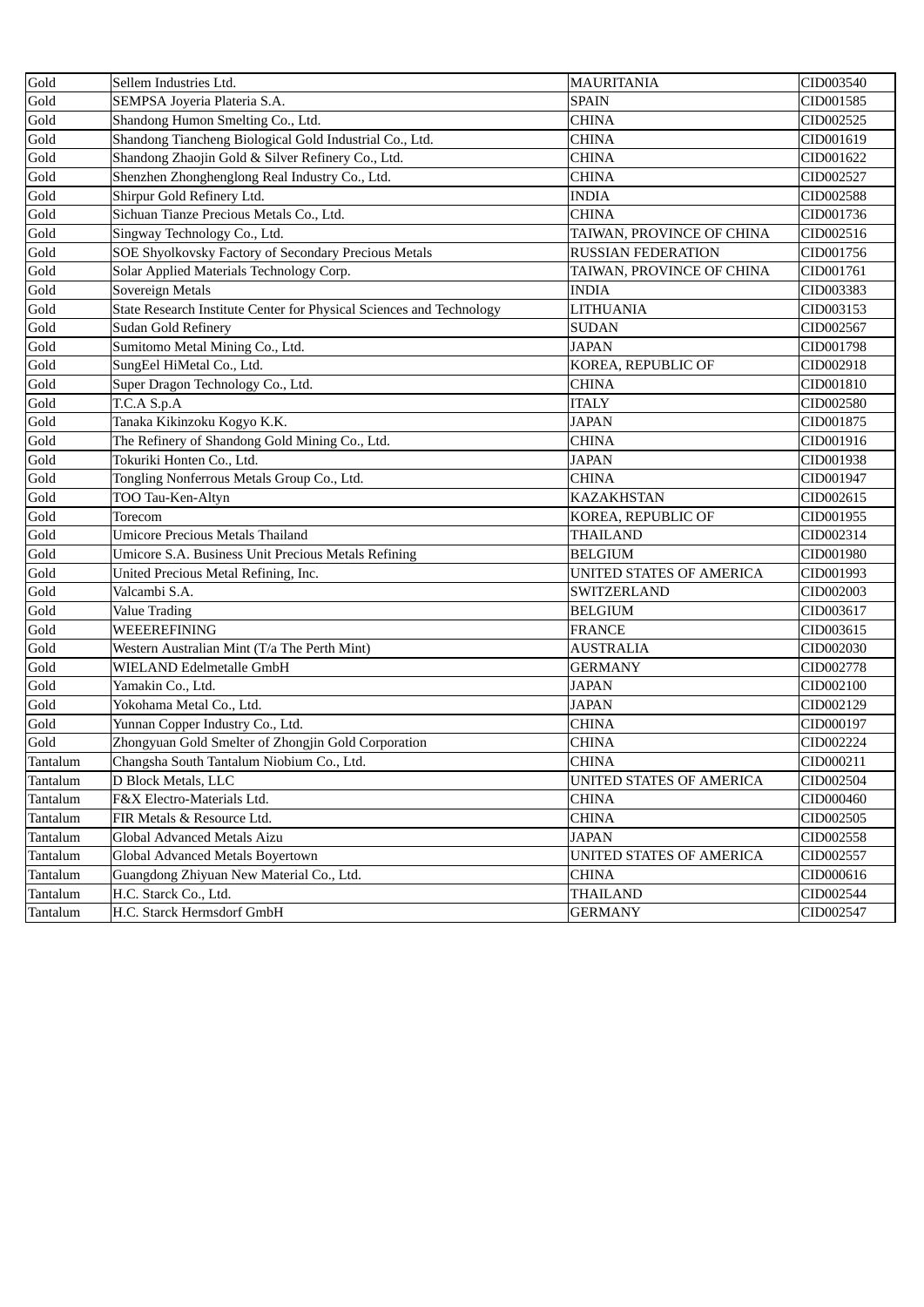| Gold     | Sellem Industries Ltd.                                               | <b>MAURITANIA</b>         | CID003540 |
|----------|----------------------------------------------------------------------|---------------------------|-----------|
| Gold     | SEMPSA Joyeria Plateria S.A.                                         | <b>SPAIN</b>              | CID001585 |
| Gold     | Shandong Humon Smelting Co., Ltd.                                    | <b>CHINA</b>              | CID002525 |
| Gold     | Shandong Tiancheng Biological Gold Industrial Co., Ltd.              | CHINA                     | CID001619 |
| Gold     | Shandong Zhaojin Gold & Silver Refinery Co., Ltd.                    | <b>CHINA</b>              | CID001622 |
| Gold     | Shenzhen Zhonghenglong Real Industry Co., Ltd.                       | <b>CHINA</b>              | CID002527 |
| Gold     | Shirpur Gold Refinery Ltd.                                           | <b>INDIA</b>              | CID002588 |
| Gold     | Sichuan Tianze Precious Metals Co., Ltd.                             | <b>CHINA</b>              | CID001736 |
| Gold     | Singway Technology Co., Ltd.                                         | TAIWAN, PROVINCE OF CHINA | CID002516 |
| Gold     | <b>SOE Shyolkovsky Factory of Secondary Precious Metals</b>          | <b>RUSSIAN FEDERATION</b> | CID001756 |
| Gold     | Solar Applied Materials Technology Corp.                             | TAIWAN, PROVINCE OF CHINA | CID001761 |
| Gold     | Sovereign Metals                                                     | <b>INDIA</b>              | CID003383 |
| Gold     | State Research Institute Center for Physical Sciences and Technology | <b>LITHUANIA</b>          | CID003153 |
| Gold     | <b>Sudan Gold Refinery</b>                                           | <b>SUDAN</b>              | CID002567 |
| Gold     | Sumitomo Metal Mining Co., Ltd.                                      | <b>JAPAN</b>              | CID001798 |
| Gold     | SungEel HiMetal Co., Ltd.                                            | KOREA, REPUBLIC OF        | CID002918 |
| Gold     | Super Dragon Technology Co., Ltd.                                    | <b>CHINA</b>              | CID001810 |
| Gold     | T.C.A S.p.A                                                          | <b>ITALY</b>              | CID002580 |
| Gold     | Tanaka Kikinzoku Kogyo K.K.                                          | <b>JAPAN</b>              | CID001875 |
| Gold     | The Refinery of Shandong Gold Mining Co., Ltd.                       | <b>CHINA</b>              | CID001916 |
| Gold     | Tokuriki Honten Co., Ltd.                                            | <b>JAPAN</b>              | CID001938 |
| Gold     | Tongling Nonferrous Metals Group Co., Ltd.                           | <b>CHINA</b>              | CID001947 |
| Gold     | TOO Tau-Ken-Altyn                                                    | <b>KAZAKHSTAN</b>         | CID002615 |
| Gold     | Torecom                                                              | KOREA, REPUBLIC OF        | CID001955 |
| Gold     | <b>Umicore Precious Metals Thailand</b>                              | <b>THAILAND</b>           | CID002314 |
| Gold     | Umicore S.A. Business Unit Precious Metals Refining                  | <b>BELGIUM</b>            | CID001980 |
| Gold     | United Precious Metal Refining, Inc.                                 | UNITED STATES OF AMERICA  | CID001993 |
| Gold     | Valcambi S.A.                                                        | SWITZERLAND               | CID002003 |
| Gold     | <b>Value Trading</b>                                                 | <b>BELGIUM</b>            | CID003617 |
| Gold     | WEEEREFINING                                                         | <b>FRANCE</b>             | CID003615 |
| Gold     | Western Australian Mint (T/a The Perth Mint)                         | AUSTRALIA                 | CID002030 |
| Gold     | WIELAND Edelmetalle GmbH                                             | <b>GERMANY</b>            | CID002778 |
| Gold     | Yamakin Co., Ltd.                                                    | <b>JAPAN</b>              | CID002100 |
| Gold     | Yokohama Metal Co., Ltd.                                             | <b>JAPAN</b>              | CID002129 |
| Gold     | Yunnan Copper Industry Co., Ltd.                                     | <b>CHINA</b>              | CID000197 |
| Gold     | Zhongyuan Gold Smelter of Zhongjin Gold Corporation                  | <b>CHINA</b>              | CID002224 |
| Tantalum | Changsha South Tantalum Niobium Co., Ltd.                            | <b>CHINA</b>              | CID000211 |
| Tantalum | D Block Metals, LLC                                                  | UNITED STATES OF AMERICA  | CID002504 |
| Tantalum | F&X Electro-Materials Ltd.                                           | <b>CHINA</b>              | CID000460 |
| Tantalum | FIR Metals & Resource Ltd.                                           | <b>CHINA</b>              | CID002505 |
| Tantalum | Global Advanced Metals Aizu                                          | JAPAN                     | CID002558 |
| Tantalum | Global Advanced Metals Boyertown                                     | UNITED STATES OF AMERICA  | CID002557 |
| Tantalum | Guangdong Zhiyuan New Material Co., Ltd.                             | <b>CHINA</b>              | CID000616 |
| Tantalum | H.C. Starck Co., Ltd.                                                | THAILAND                  | CID002544 |
| Tantalum | H.C. Starck Hermsdorf GmbH                                           | <b>GERMANY</b>            | CID002547 |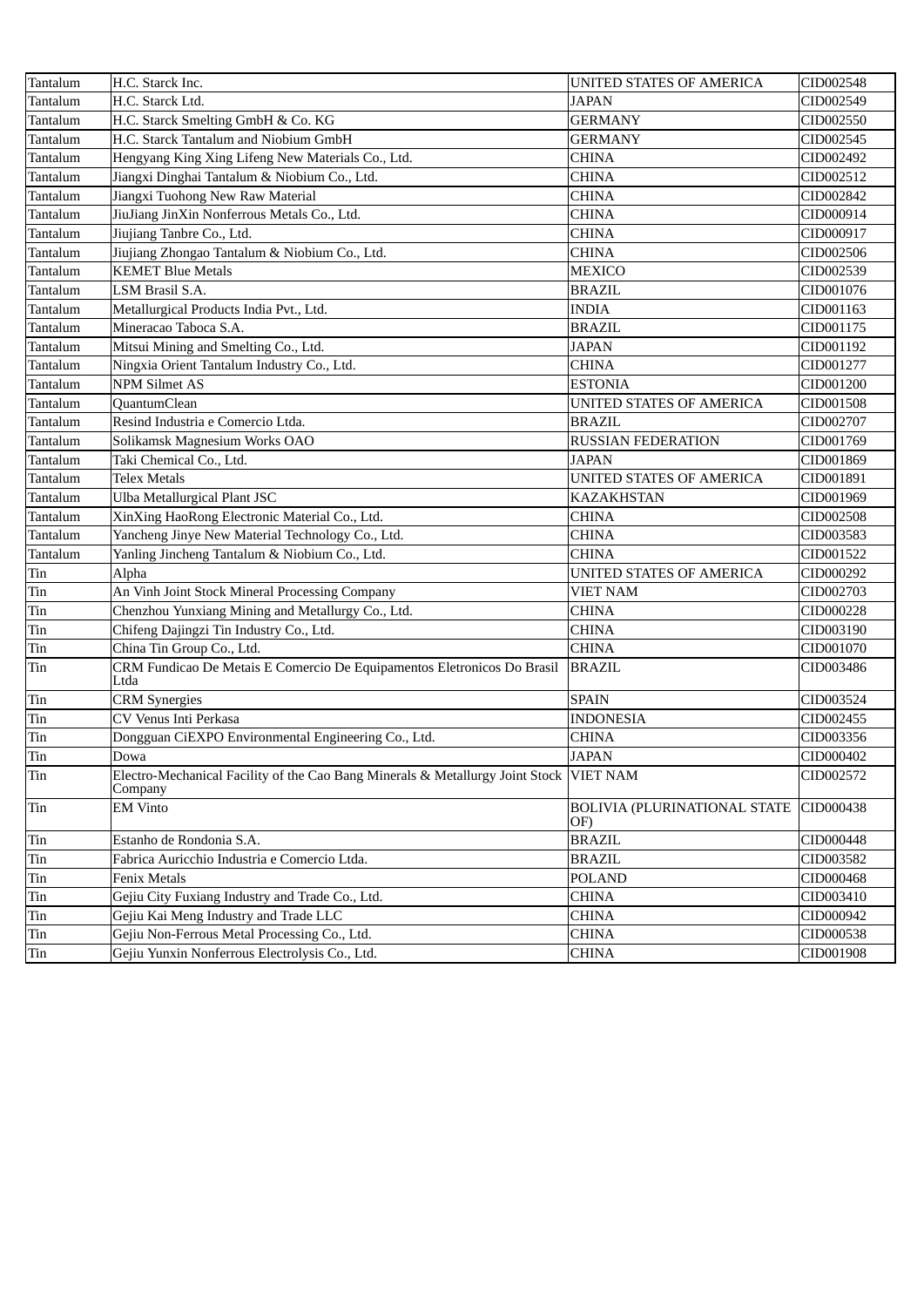| Tantalum | H.C. Starck Inc.                                                                                  | UNITED STATES OF AMERICA                   | CID002548 |
|----------|---------------------------------------------------------------------------------------------------|--------------------------------------------|-----------|
| Tantalum | H.C. Starck Ltd.                                                                                  | <b>JAPAN</b>                               | CID002549 |
| Tantalum | H.C. Starck Smelting GmbH & Co. KG                                                                | <b>GERMANY</b>                             | CID002550 |
| Tantalum | H.C. Starck Tantalum and Niobium GmbH                                                             | GERMANY                                    | CID002545 |
| Tantalum | Hengyang King Xing Lifeng New Materials Co., Ltd.                                                 | <b>CHINA</b>                               | CID002492 |
| Tantalum | Jiangxi Dinghai Tantalum & Niobium Co., Ltd.                                                      | <b>CHINA</b>                               | CID002512 |
| Tantalum | Jiangxi Tuohong New Raw Material                                                                  | <b>CHINA</b>                               | CID002842 |
| Tantalum | JiuJiang JinXin Nonferrous Metals Co., Ltd.                                                       | <b>CHINA</b>                               | CID000914 |
| Tantalum | Jiujiang Tanbre Co., Ltd.                                                                         | <b>CHINA</b>                               | CID000917 |
| Tantalum | Jiujiang Zhongao Tantalum & Niobium Co., Ltd.                                                     | <b>CHINA</b>                               | CID002506 |
| Tantalum | <b>KEMET Blue Metals</b>                                                                          | <b>MEXICO</b>                              | CID002539 |
| Tantalum | <b>LSM Brasil S.A.</b>                                                                            | <b>BRAZIL</b>                              | CID001076 |
| Tantalum | Metallurgical Products India Pvt., Ltd.                                                           | <b>INDIA</b>                               | CID001163 |
| Tantalum | Mineracao Taboca S.A.                                                                             | <b>BRAZIL</b>                              | CID001175 |
| Tantalum | Mitsui Mining and Smelting Co., Ltd.                                                              | <b>JAPAN</b>                               | CID001192 |
| Tantalum | Ningxia Orient Tantalum Industry Co., Ltd.                                                        | <b>CHINA</b>                               | CID001277 |
| Tantalum | <b>NPM Silmet AS</b>                                                                              | <b>ESTONIA</b>                             | CID001200 |
| Tantalum | QuantumClean                                                                                      | UNITED STATES OF AMERICA                   | CID001508 |
| Tantalum | Resind Industria e Comercio Ltda.                                                                 | <b>BRAZIL</b>                              | CID002707 |
| Tantalum | Solikamsk Magnesium Works OAO                                                                     | <b>RUSSIAN FEDERATION</b>                  | CID001769 |
| Tantalum | Taki Chemical Co., Ltd.                                                                           | <b>JAPAN</b>                               | CID001869 |
| Tantalum | <b>Telex Metals</b>                                                                               | UNITED STATES OF AMERICA                   | CID001891 |
| Tantalum | <b>Ulba Metallurgical Plant JSC</b>                                                               | <b>KAZAKHSTAN</b>                          | CID001969 |
| Tantalum | XinXing HaoRong Electronic Material Co., Ltd.                                                     | <b>CHINA</b>                               | CID002508 |
| Tantalum | Yancheng Jinye New Material Technology Co., Ltd.                                                  | <b>CHINA</b>                               | CID003583 |
| Tantalum | Yanling Jincheng Tantalum & Niobium Co., Ltd.                                                     | <b>CHINA</b>                               | CID001522 |
| Tin      | Alpha                                                                                             | UNITED STATES OF AMERICA                   | CID000292 |
| Tin      | An Vinh Joint Stock Mineral Processing Company                                                    | <b>VIET NAM</b>                            | CID002703 |
| Tin      | Chenzhou Yunxiang Mining and Metallurgy Co., Ltd.                                                 | <b>CHINA</b>                               | CID000228 |
| Tin      | Chifeng Dajingzi Tin Industry Co., Ltd.                                                           | <b>CHINA</b>                               | CID003190 |
| Tin      | China Tin Group Co., Ltd.                                                                         | <b>CHINA</b>                               | CID001070 |
| Tin      | CRM Fundicao De Metais E Comercio De Equipamentos Eletronicos Do Brasil<br>Ltda                   | <b>BRAZIL</b>                              | CID003486 |
| Tin      | <b>CRM</b> Synergies                                                                              | <b>SPAIN</b>                               | CID003524 |
| Tin      | CV Venus Inti Perkasa                                                                             | <b>INDONESIA</b>                           | CID002455 |
| Tin      | Dongguan CiEXPO Environmental Engineering Co., Ltd.                                               | <b>CHINA</b>                               | CID003356 |
| Tin      | Dowa                                                                                              | <b>JAPAN</b>                               | CID000402 |
| Tin      | Electro-Mechanical Facility of the Cao Bang Minerals & Metallurgy Joint Stock VIET NAM<br>Company |                                            | CID002572 |
| Tin      | <b>EM Vinto</b>                                                                                   | <b>BOLIVIA (PLURINATIONAL STATE</b><br>OF) | CID000438 |
| Tin      | Estanho de Rondonia S.A.                                                                          | <b>BRAZIL</b>                              | CID000448 |
| Tin      | Fabrica Auricchio Industria e Comercio Ltda.                                                      | <b>BRAZIL</b>                              | CID003582 |
| Tin      | Fenix Metals                                                                                      | <b>POLAND</b>                              | CID000468 |
| Tin      | Gejiu City Fuxiang Industry and Trade Co., Ltd.                                                   | <b>CHINA</b>                               | CID003410 |
| Tin      | Gejiu Kai Meng Industry and Trade LLC                                                             | <b>CHINA</b>                               | CID000942 |
| Tin      | Gejiu Non-Ferrous Metal Processing Co., Ltd.                                                      | <b>CHINA</b>                               | CID000538 |
| Tin      | Gejiu Yunxin Nonferrous Electrolysis Co., Ltd.                                                    | <b>CHINA</b>                               | CID001908 |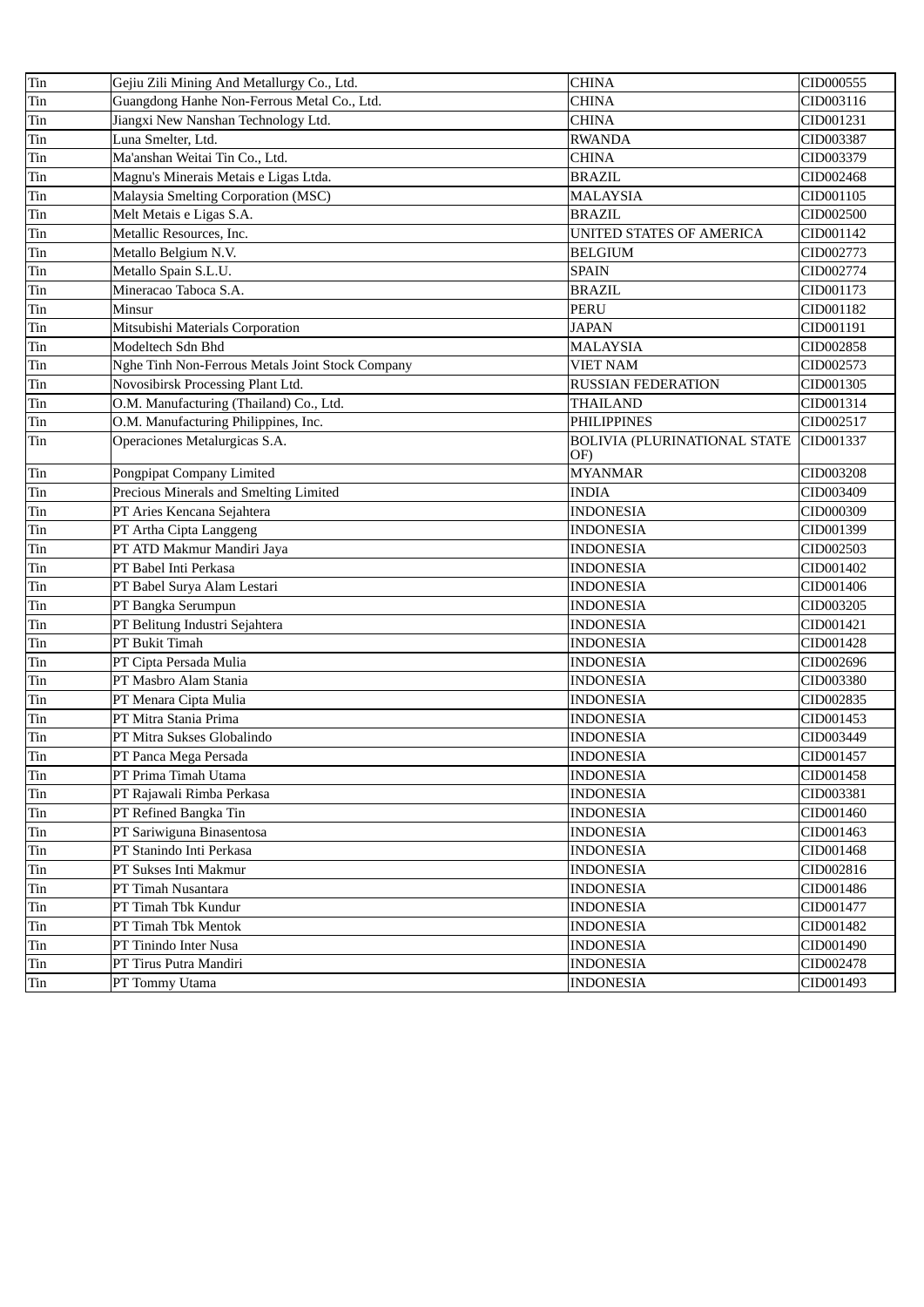| Tin | Gejiu Zili Mining And Metallurgy Co., Ltd.       | <b>CHINA</b>                               | CID000555 |
|-----|--------------------------------------------------|--------------------------------------------|-----------|
| Tin | Guangdong Hanhe Non-Ferrous Metal Co., Ltd.      | <b>CHINA</b>                               | CID003116 |
| Tin | Jiangxi New Nanshan Technology Ltd.              | <b>CHINA</b>                               | CID001231 |
| Tin | Luna Smelter, Ltd.                               | <b>RWANDA</b>                              | CID003387 |
| Tin | Ma'anshan Weitai Tin Co., Ltd.                   | <b>CHINA</b>                               | CID003379 |
| Tin | Magnu's Minerais Metais e Ligas Ltda.            | <b>BRAZIL</b>                              | CID002468 |
| Tin | Malaysia Smelting Corporation (MSC)              | <b>MALAYSIA</b>                            | CID001105 |
| Tin | Melt Metais e Ligas S.A.                         | <b>BRAZIL</b>                              | CID002500 |
| Tin | Metallic Resources, Inc.                         | UNITED STATES OF AMERICA                   | CID001142 |
| Tin | Metallo Belgium N.V.                             | <b>BELGIUM</b>                             | CID002773 |
| Tin | Metallo Spain S.L.U.                             | <b>SPAIN</b>                               | CID002774 |
| Tin | Mineracao Taboca S.A.                            | <b>BRAZIL</b>                              | CID001173 |
| Tin | Minsur                                           | <b>PERU</b>                                | CID001182 |
| Tin | Mitsubishi Materials Corporation                 | <b>JAPAN</b>                               | CID001191 |
| Tin | Modeltech Sdn Bhd                                | <b>MALAYSIA</b>                            | CID002858 |
| Tin | Nghe Tinh Non-Ferrous Metals Joint Stock Company | <b>VIET NAM</b>                            | CID002573 |
| Tin | Novosibirsk Processing Plant Ltd.                | <b>RUSSIAN FEDERATION</b>                  | CID001305 |
| Tin | O.M. Manufacturing (Thailand) Co., Ltd.          | <b>THAILAND</b>                            | CID001314 |
| Tin | O.M. Manufacturing Philippines, Inc.             | <b>PHILIPPINES</b>                         | CID002517 |
| Tin | Operaciones Metalurgicas S.A.                    | <b>BOLIVIA (PLURINATIONAL STATE</b><br>OF) | CID001337 |
| Tin | Pongpipat Company Limited                        | <b>MYANMAR</b>                             | CID003208 |
| Tin | Precious Minerals and Smelting Limited           | <b>INDIA</b>                               | CID003409 |
| Tin | PT Aries Kencana Sejahtera                       | <b>INDONESIA</b>                           | CID000309 |
| Tin | PT Artha Cipta Langgeng                          | <b>INDONESIA</b>                           | CID001399 |
| Tin | PT ATD Makmur Mandiri Jaya                       | <b>INDONESIA</b>                           | CID002503 |
| Tin | PT Babel Inti Perkasa                            | <b>INDONESIA</b>                           | CID001402 |
| Tin | PT Babel Surya Alam Lestari                      | <b>INDONESIA</b>                           | CID001406 |
| Tin | PT Bangka Serumpun                               | <b>INDONESIA</b>                           | CID003205 |
| Tin | PT Belitung Industri Sejahtera                   | <b>INDONESIA</b>                           | CID001421 |
| Tin | PT Bukit Timah                                   | <b>INDONESIA</b>                           | CID001428 |
| Tin | PT Cipta Persada Mulia                           | <b>INDONESIA</b>                           | CID002696 |
| Tin | PT Masbro Alam Stania                            | <b>INDONESIA</b>                           | CID003380 |
| Tin | PT Menara Cipta Mulia                            | <b>INDONESIA</b>                           | CID002835 |
| Tin | PT Mitra Stania Prima                            | <b>INDONESIA</b>                           | CID001453 |
| Tin | PT Mitra Sukses Globalindo                       | <b>INDONESIA</b>                           | CID003449 |
| Tin | PT Panca Mega Persada                            | <b>INDONESIA</b>                           | CID001457 |
| Tin | PT Prima Timah Utama                             | <b>INDONESIA</b>                           | CID001458 |
| Tin | PT Rajawali Rimba Perkasa                        | <b>INDONESIA</b>                           | CID003381 |
| Tin | PT Refined Bangka Tin                            | <b>INDONESIA</b>                           | CID001460 |
| Tin | PT Sariwiguna Binasentosa                        | <b>INDONESIA</b>                           | CID001463 |
| Tin | PT Stanindo Inti Perkasa                         | <b>INDONESIA</b>                           | CID001468 |
| Tin | PT Sukses Inti Makmur                            | <b>INDONESIA</b>                           | CID002816 |
| Tin | PT Timah Nusantara                               | <b>INDONESIA</b>                           | CID001486 |
| Tin | PT Timah Tbk Kundur                              | <b>INDONESIA</b>                           | CID001477 |
| Tin | PT Timah Tbk Mentok                              | <b>INDONESIA</b>                           | CID001482 |
| Tin | PT Tinindo Inter Nusa                            | <b>INDONESIA</b>                           | CID001490 |
| Tin | PT Tirus Putra Mandiri                           | <b>INDONESIA</b>                           | CID002478 |
| Tin | PT Tommy Utama                                   | <b>INDONESIA</b>                           | CID001493 |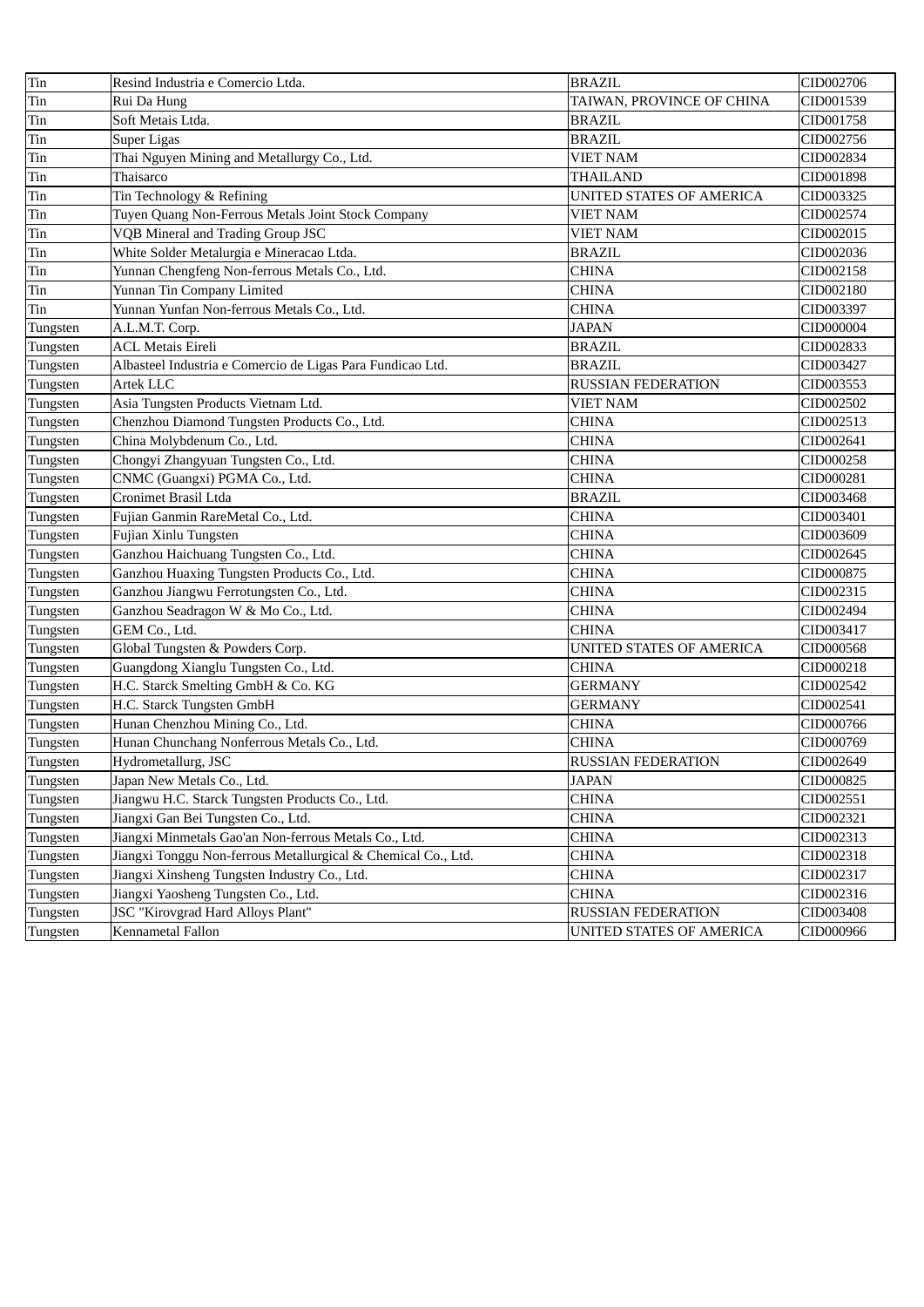| Tin      | Resind Industria e Comercio Ltda.                             | <b>BRAZIL</b>             | CID002706 |
|----------|---------------------------------------------------------------|---------------------------|-----------|
| Tin      | Rui Da Hung                                                   | TAIWAN, PROVINCE OF CHINA | CID001539 |
| Tin      | Soft Metais Ltda.                                             | <b>BRAZIL</b>             | CID001758 |
| Tin      | Super Ligas                                                   | <b>BRAZIL</b>             | CID002756 |
| Tin      | Thai Nguyen Mining and Metallurgy Co., Ltd.                   | VIET NAM                  | CID002834 |
| Tin      | Thaisarco                                                     | THAILAND                  | CID001898 |
| Tin      | Tin Technology & Refining                                     | UNITED STATES OF AMERICA  | CID003325 |
| Tin      | Tuyen Quang Non-Ferrous Metals Joint Stock Company            | VIET NAM                  | CID002574 |
| Tin      | VQB Mineral and Trading Group JSC                             | VIET NAM                  | CID002015 |
| Tin      | White Solder Metalurgia e Mineracao Ltda.                     | <b>BRAZIL</b>             | CID002036 |
| Tin      | Yunnan Chengfeng Non-ferrous Metals Co., Ltd.                 | <b>CHINA</b>              | CID002158 |
| Tin      | Yunnan Tin Company Limited                                    | <b>CHINA</b>              | CID002180 |
| Tin      | Yunnan Yunfan Non-ferrous Metals Co., Ltd.                    | <b>CHINA</b>              | CID003397 |
| Tungsten | A.L.M.T. Corp.                                                | <b>JAPAN</b>              | CID000004 |
| Tungsten | <b>ACL Metais Eireli</b>                                      | <b>BRAZIL</b>             | CID002833 |
| Tungsten | Albasteel Industria e Comercio de Ligas Para Fundicao Ltd.    | <b>BRAZIL</b>             | CID003427 |
| Tungsten | Artek LLC                                                     | <b>RUSSIAN FEDERATION</b> | CID003553 |
| Tungsten | Asia Tungsten Products Vietnam Ltd.                           | <b>VIET NAM</b>           | CID002502 |
| Tungsten | Chenzhou Diamond Tungsten Products Co., Ltd.                  | <b>CHINA</b>              | CID002513 |
| Tungsten | China Molybdenum Co., Ltd.                                    | <b>CHINA</b>              | CID002641 |
| Tungsten | Chongyi Zhangyuan Tungsten Co., Ltd.                          | CHINA                     | CID000258 |
| Tungsten | CNMC (Guangxi) PGMA Co., Ltd.                                 | <b>CHINA</b>              | CID000281 |
| Tungsten | Cronimet Brasil Ltda                                          | <b>BRAZIL</b>             | CID003468 |
| Tungsten | Fujian Ganmin RareMetal Co., Ltd.                             | CHINA                     | CID003401 |
| Tungsten | Fujian Xinlu Tungsten                                         | <b>CHINA</b>              | CID003609 |
| Tungsten | Ganzhou Haichuang Tungsten Co., Ltd.                          | <b>CHINA</b>              | CID002645 |
| Tungsten | Ganzhou Huaxing Tungsten Products Co., Ltd.                   | <b>CHINA</b>              | CID000875 |
| Tungsten | Ganzhou Jiangwu Ferrotungsten Co., Ltd.                       | CHINA                     | CID002315 |
| Tungsten | Ganzhou Seadragon W & Mo Co., Ltd.                            | <b>CHINA</b>              | CID002494 |
| Tungsten | GEM Co., Ltd.                                                 | <b>CHINA</b>              | CID003417 |
| Tungsten | Global Tungsten & Powders Corp.                               | UNITED STATES OF AMERICA  | CID000568 |
| Tungsten | Guangdong Xianglu Tungsten Co., Ltd.                          | <b>CHINA</b>              | CID000218 |
| Tungsten | H.C. Starck Smelting GmbH & Co. KG                            | <b>GERMANY</b>            | CID002542 |
| Tungsten | H.C. Starck Tungsten GmbH                                     | <b>GERMANY</b>            | CID002541 |
| Tungsten | Hunan Chenzhou Mining Co., Ltd.                               | CHINA                     | CID000766 |
| Tungsten | Hunan Chunchang Nonferrous Metals Co., Ltd.                   | <b>CHINA</b>              | CID000769 |
| Tungsten | Hydrometallurg, JSC                                           | RUSSIAN FEDERATION        | CID002649 |
| Tungsten | Japan New Metals Co., Ltd.                                    | <b>JAPAN</b>              | CID000825 |
| Tungsten | Jiangwu H.C. Starck Tungsten Products Co., Ltd.               | CHINA                     | CID002551 |
| Tungsten | Jiangxi Gan Bei Tungsten Co., Ltd.                            | CHINA                     | CID002321 |
| Tungsten | Jiangxi Minmetals Gao'an Non-ferrous Metals Co., Ltd.         | CHINA                     | CID002313 |
| Tungsten | Jiangxi Tonggu Non-ferrous Metallurgical & Chemical Co., Ltd. | CHINA                     | CID002318 |
| Tungsten | Jiangxi Xinsheng Tungsten Industry Co., Ltd.                  | CHINA                     | CID002317 |
| Tungsten | Jiangxi Yaosheng Tungsten Co., Ltd.                           | <b>CHINA</b>              | CID002316 |
| Tungsten | JSC "Kirovgrad Hard Alloys Plant"                             | RUSSIAN FEDERATION        | CID003408 |
| Tungsten | Kennametal Fallon                                             | UNITED STATES OF AMERICA  | CID000966 |